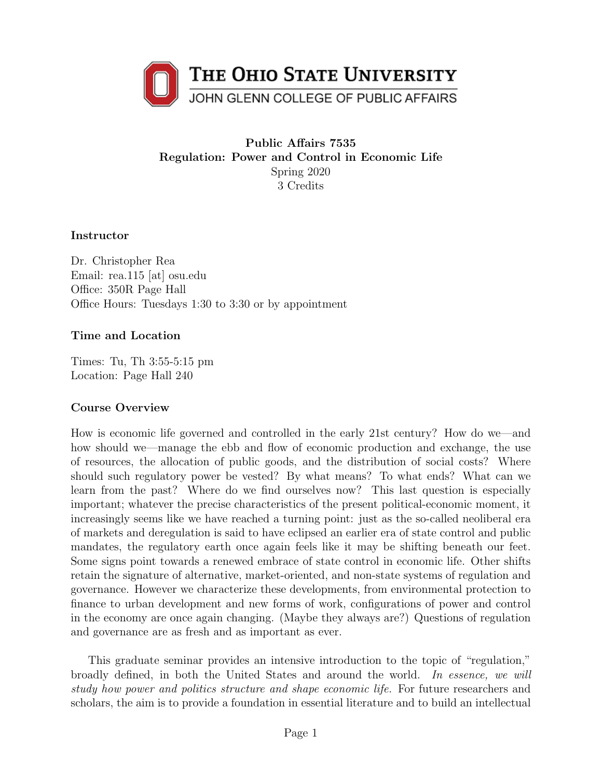<span id="page-0-0"></span>

# Public Affairs 7535 Regulation: Power and Control in Economic Life Spring 2020 3 Credits

### Instructor

Dr. Christopher Rea Email: rea.115 [at] osu.edu Office: 350R Page Hall Office Hours: Tuesdays 1:30 to 3:30 or by appointment

### Time and Location

Times: Tu, Th 3:55-5:15 pm Location: Page Hall 240

### Course Overview

How is economic life governed and controlled in the early 21st century? How do we—and how should we—manage the ebb and flow of economic production and exchange, the use of resources, the allocation of public goods, and the distribution of social costs? Where should such regulatory power be vested? By what means? To what ends? What can we learn from the past? Where do we find ourselves now? This last question is especially important; whatever the precise characteristics of the present political-economic moment, it increasingly seems like we have reached a turning point: just as the so-called neoliberal era of markets and deregulation is said to have eclipsed an earlier era of state control and public mandates, the regulatory earth once again feels like it may be shifting beneath our feet. Some signs point towards a renewed embrace of state control in economic life. Other shifts retain the signature of alternative, market-oriented, and non-state systems of regulation and governance. However we characterize these developments, from environmental protection to finance to urban development and new forms of work, configurations of power and control in the economy are once again changing. (Maybe they always are?) Questions of regulation and governance are as fresh and as important as ever.

This graduate seminar provides an intensive introduction to the topic of "regulation," broadly defined, in both the United States and around the world. In essence, we will study how power and politics structure and shape economic life. For future researchers and scholars, the aim is to provide a foundation in essential literature and to build an intellectual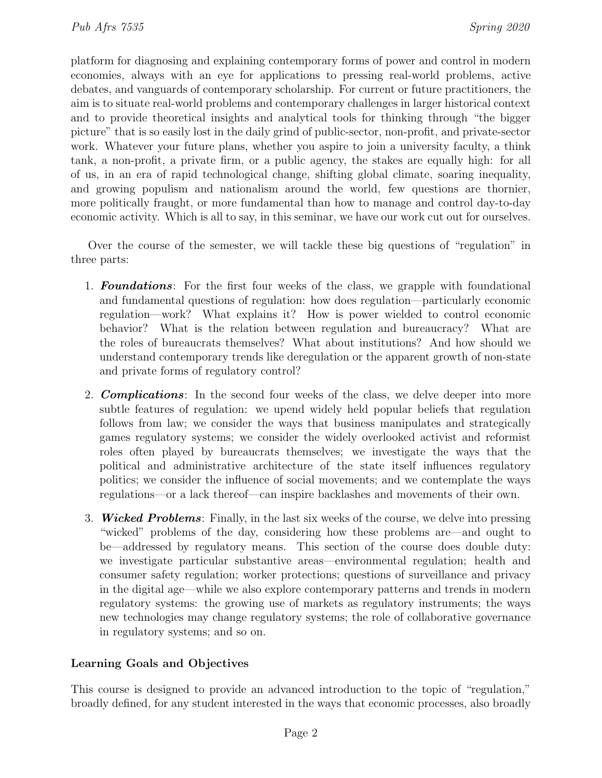platform for diagnosing and explaining contemporary forms of power and control in modern economies, always with an eye for applications to pressing real-world problems, active debates, and vanguards of contemporary scholarship. For current or future practitioners, the aim is to situate real-world problems and contemporary challenges in larger historical context and to provide theoretical insights and analytical tools for thinking through "the bigger picture" that is so easily lost in the daily grind of public-sector, non-profit, and private-sector work. Whatever your future plans, whether you aspire to join a university faculty, a think tank, a non-profit, a private firm, or a public agency, the stakes are equally high: for all of us, in an era of rapid technological change, shifting global climate, soaring inequality, and growing populism and nationalism around the world, few questions are thornier, more politically fraught, or more fundamental than how to manage and control day-to-day economic activity. Which is all to say, in this seminar, we have our work cut out for ourselves.

Over the course of the semester, we will tackle these big questions of "regulation" in three parts:

- 1. **Foundations**: For the first four weeks of the class, we grapple with foundational and fundamental questions of regulation: how does regulation—particularly economic regulation—work? What explains it? How is power wielded to control economic behavior? What is the relation between regulation and bureaucracy? What are the roles of bureaucrats themselves? What about institutions? And how should we understand contemporary trends like deregulation or the apparent growth of non-state and private forms of regulatory control?
- 2. **Complications**: In the second four weeks of the class, we delve deeper into more subtle features of regulation: we upend widely held popular beliefs that regulation follows from law; we consider the ways that business manipulates and strategically games regulatory systems; we consider the widely overlooked activist and reformist roles often played by bureaucrats themselves; we investigate the ways that the political and administrative architecture of the state itself influences regulatory politics; we consider the influence of social movements; and we contemplate the ways regulations—or a lack thereof—can inspire backlashes and movements of their own.
- 3. Wicked Problems: Finally, in the last six weeks of the course, we delve into pressing "wicked" problems of the day, considering how these problems are—and ought to be—addressed by regulatory means. This section of the course does double duty: we investigate particular substantive areas—environmental regulation; health and consumer safety regulation; worker protections; questions of surveillance and privacy in the digital age—while we also explore contemporary patterns and trends in modern regulatory systems: the growing use of markets as regulatory instruments; the ways new technologies may change regulatory systems; the role of collaborative governance in regulatory systems; and so on.

# Learning Goals and Objectives

This course is designed to provide an advanced introduction to the topic of "regulation," broadly defined, for any student interested in the ways that economic processes, also broadly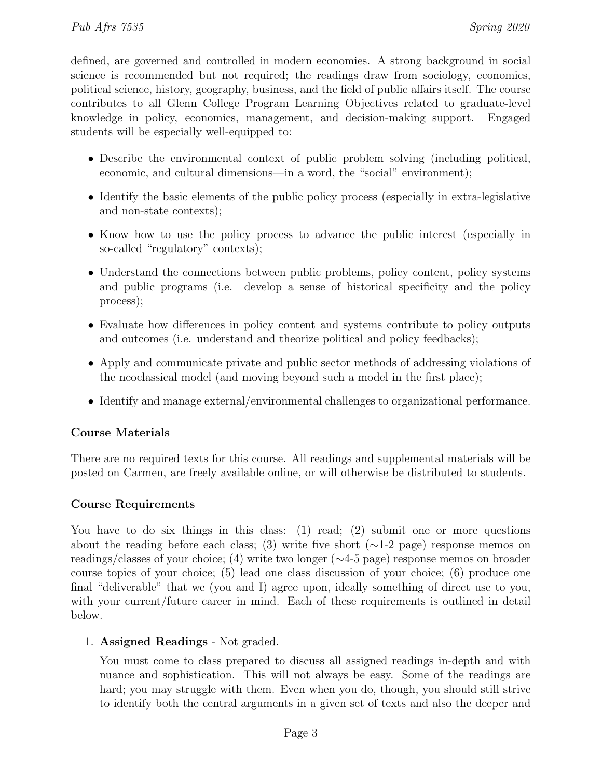defined, are governed and controlled in modern economies. A strong background in social science is recommended but not required; the readings draw from sociology, economics, political science, history, geography, business, and the field of public affairs itself. The course contributes to all Glenn College Program Learning Objectives related to graduate-level knowledge in policy, economics, management, and decision-making support. Engaged students will be especially well-equipped to:

- Describe the environmental context of public problem solving (including political, economic, and cultural dimensions—in a word, the "social" environment);
- Identify the basic elements of the public policy process (especially in extra-legislative and non-state contexts);
- Know how to use the policy process to advance the public interest (especially in so-called "regulatory" contexts);
- Understand the connections between public problems, policy content, policy systems and public programs (i.e. develop a sense of historical specificity and the policy process);
- Evaluate how differences in policy content and systems contribute to policy outputs and outcomes (i.e. understand and theorize political and policy feedbacks);
- Apply and communicate private and public sector methods of addressing violations of the neoclassical model (and moving beyond such a model in the first place);
- Identify and manage external/environmental challenges to organizational performance.

# Course Materials

There are no required texts for this course. All readings and supplemental materials will be posted on Carmen, are freely available online, or will otherwise be distributed to students.

# Course Requirements

You have to do six things in this class: (1) read; (2) submit one or more questions about the reading before each class; (3) write five short ( $\sim$ 1-2 page) response memos on readings/classes of your choice; (4) write two longer (∼4-5 page) response memos on broader course topics of your choice; (5) lead one class discussion of your choice; (6) produce one final "deliverable" that we (you and I) agree upon, ideally something of direct use to you, with your current/future career in mind. Each of these requirements is outlined in detail below.

# 1. Assigned Readings - Not graded.

You must come to class prepared to discuss all assigned readings in-depth and with nuance and sophistication. This will not always be easy. Some of the readings are hard; you may struggle with them. Even when you do, though, you should still strive to identify both the central arguments in a given set of texts and also the deeper and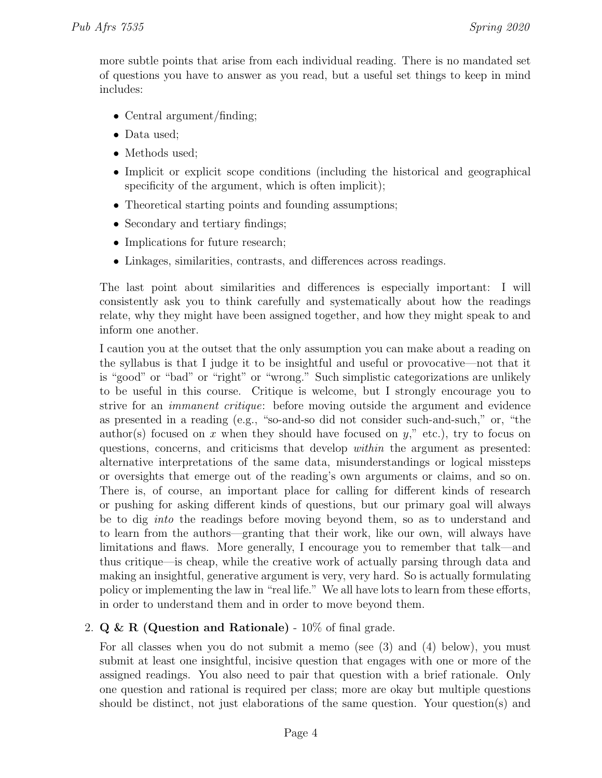more subtle points that arise from each individual reading. There is no mandated set of questions you have to answer as you read, but a useful set things to keep in mind includes:

- Central argument/finding;
- Data used;
- Methods used;
- Implicit or explicit scope conditions (including the historical and geographical specificity of the argument, which is often implicit);
- Theoretical starting points and founding assumptions;
- Secondary and tertiary findings;
- Implications for future research;
- Linkages, similarities, contrasts, and differences across readings.

The last point about similarities and differences is especially important: I will consistently ask you to think carefully and systematically about how the readings relate, why they might have been assigned together, and how they might speak to and inform one another.

I caution you at the outset that the only assumption you can make about a reading on the syllabus is that I judge it to be insightful and useful or provocative—not that it is "good" or "bad" or "right" or "wrong." Such simplistic categorizations are unlikely to be useful in this course. Critique is welcome, but I strongly encourage you to strive for an immanent critique: before moving outside the argument and evidence as presented in a reading (e.g., "so-and-so did not consider such-and-such," or, "the author(s) focused on x when they should have focused on  $y$ ," etc.), try to focus on questions, concerns, and criticisms that develop within the argument as presented: alternative interpretations of the same data, misunderstandings or logical missteps or oversights that emerge out of the reading's own arguments or claims, and so on. There is, of course, an important place for calling for different kinds of research or pushing for asking different kinds of questions, but our primary goal will always be to dig into the readings before moving beyond them, so as to understand and to learn from the authors—granting that their work, like our own, will always have limitations and flaws. More generally, I encourage you to remember that talk—and thus critique—is cheap, while the creative work of actually parsing through data and making an insightful, generative argument is very, very hard. So is actually formulating policy or implementing the law in "real life." We all have lots to learn from these efforts, in order to understand them and in order to move beyond them.

# 2.  $Q \& R$  (Question and Rationale) - 10% of final grade.

For all classes when you do not submit a memo (see (3) and (4) below), you must submit at least one insightful, incisive question that engages with one or more of the assigned readings. You also need to pair that question with a brief rationale. Only one question and rational is required per class; more are okay but multiple questions should be distinct, not just elaborations of the same question. Your question(s) and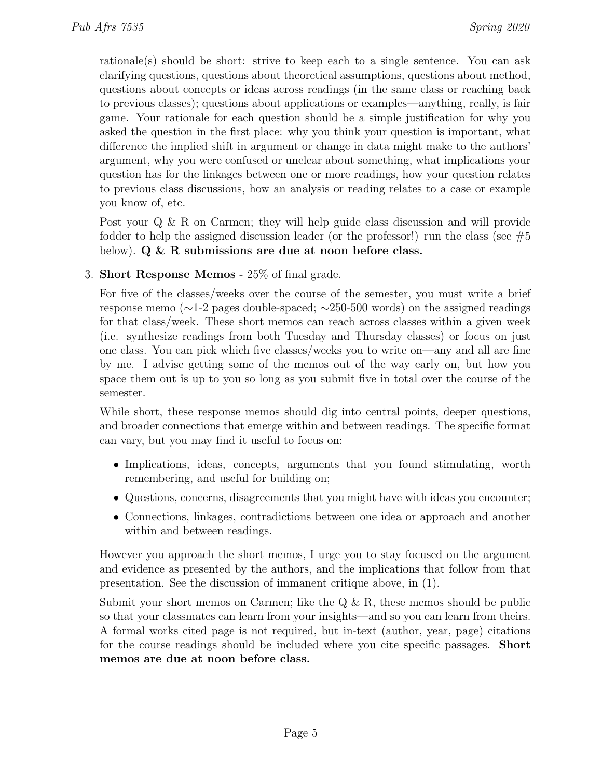rationale(s) should be short: strive to keep each to a single sentence. You can ask clarifying questions, questions about theoretical assumptions, questions about method, questions about concepts or ideas across readings (in the same class or reaching back to previous classes); questions about applications or examples—anything, really, is fair game. Your rationale for each question should be a simple justification for why you asked the question in the first place: why you think your question is important, what difference the implied shift in argument or change in data might make to the authors' argument, why you were confused or unclear about something, what implications your question has for the linkages between one or more readings, how your question relates to previous class discussions, how an analysis or reading relates to a case or example you know of, etc.

Post your Q & R on Carmen; they will help guide class discussion and will provide fodder to help the assigned discussion leader (or the professor!) run the class (see  $\#5$ below).  $Q \& R$  submissions are due at noon before class.

# 3. Short Response Memos - 25% of final grade.

For five of the classes/weeks over the course of the semester, you must write a brief response memo (∼1-2 pages double-spaced; ∼250-500 words) on the assigned readings for that class/week. These short memos can reach across classes within a given week (i.e. synthesize readings from both Tuesday and Thursday classes) or focus on just one class. You can pick which five classes/weeks you to write on—any and all are fine by me. I advise getting some of the memos out of the way early on, but how you space them out is up to you so long as you submit five in total over the course of the semester.

While short, these response memos should dig into central points, deeper questions, and broader connections that emerge within and between readings. The specific format can vary, but you may find it useful to focus on:

- Implications, ideas, concepts, arguments that you found stimulating, worth remembering, and useful for building on;
- Questions, concerns, disagreements that you might have with ideas you encounter;
- Connections, linkages, contradictions between one idea or approach and another within and between readings.

However you approach the short memos, I urge you to stay focused on the argument and evidence as presented by the authors, and the implications that follow from that presentation. See the discussion of immanent critique above, in (1).

Submit your short memos on Carmen; like the  $Q \& R$ , these memos should be public so that your classmates can learn from your insights—and so you can learn from theirs. A formal works cited page is not required, but in-text (author, year, page) citations for the course readings should be included where you cite specific passages. Short memos are due at noon before class.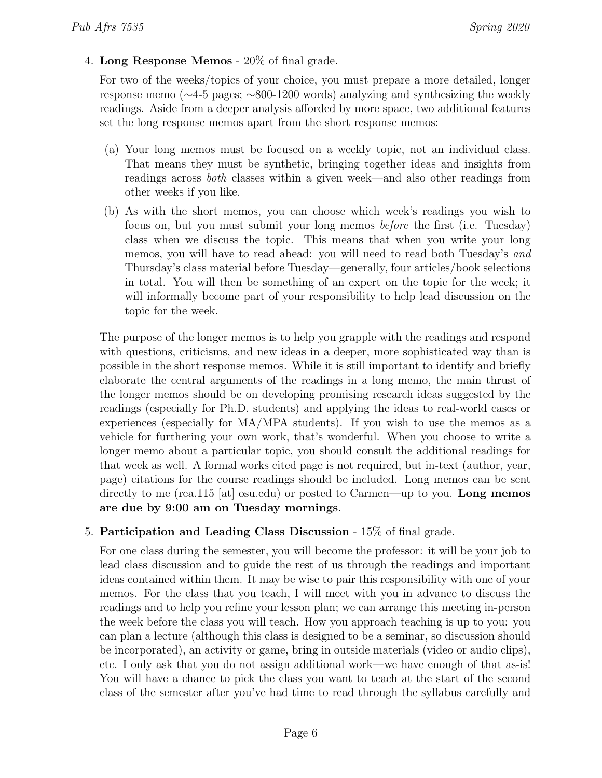4. Long Response Memos - 20% of final grade.

For two of the weeks/topics of your choice, you must prepare a more detailed, longer response memo (∼4-5 pages; ∼800-1200 words) analyzing and synthesizing the weekly readings. Aside from a deeper analysis afforded by more space, two additional features set the long response memos apart from the short response memos:

- (a) Your long memos must be focused on a weekly topic, not an individual class. That means they must be synthetic, bringing together ideas and insights from readings across both classes within a given week—and also other readings from other weeks if you like.
- (b) As with the short memos, you can choose which week's readings you wish to focus on, but you must submit your long memos before the first (i.e. Tuesday) class when we discuss the topic. This means that when you write your long memos, you will have to read ahead: you will need to read both Tuesday's and Thursday's class material before Tuesday—generally, four articles/book selections in total. You will then be something of an expert on the topic for the week; it will informally become part of your responsibility to help lead discussion on the topic for the week.

The purpose of the longer memos is to help you grapple with the readings and respond with questions, criticisms, and new ideas in a deeper, more sophisticated way than is possible in the short response memos. While it is still important to identify and briefly elaborate the central arguments of the readings in a long memo, the main thrust of the longer memos should be on developing promising research ideas suggested by the readings (especially for Ph.D. students) and applying the ideas to real-world cases or experiences (especially for MA/MPA students). If you wish to use the memos as a vehicle for furthering your own work, that's wonderful. When you choose to write a longer memo about a particular topic, you should consult the additional readings for that week as well. A formal works cited page is not required, but in-text (author, year, page) citations for the course readings should be included. Long memos can be sent directly to me (rea.115 [at] osu.edu) or posted to Carmen—up to you. Long memos are due by 9:00 am on Tuesday mornings.

# 5. Participation and Leading Class Discussion - 15% of final grade.

For one class during the semester, you will become the professor: it will be your job to lead class discussion and to guide the rest of us through the readings and important ideas contained within them. It may be wise to pair this responsibility with one of your memos. For the class that you teach, I will meet with you in advance to discuss the readings and to help you refine your lesson plan; we can arrange this meeting in-person the week before the class you will teach. How you approach teaching is up to you: you can plan a lecture (although this class is designed to be a seminar, so discussion should be incorporated), an activity or game, bring in outside materials (video or audio clips), etc. I only ask that you do not assign additional work—we have enough of that as-is! You will have a chance to pick the class you want to teach at the start of the second class of the semester after you've had time to read through the syllabus carefully and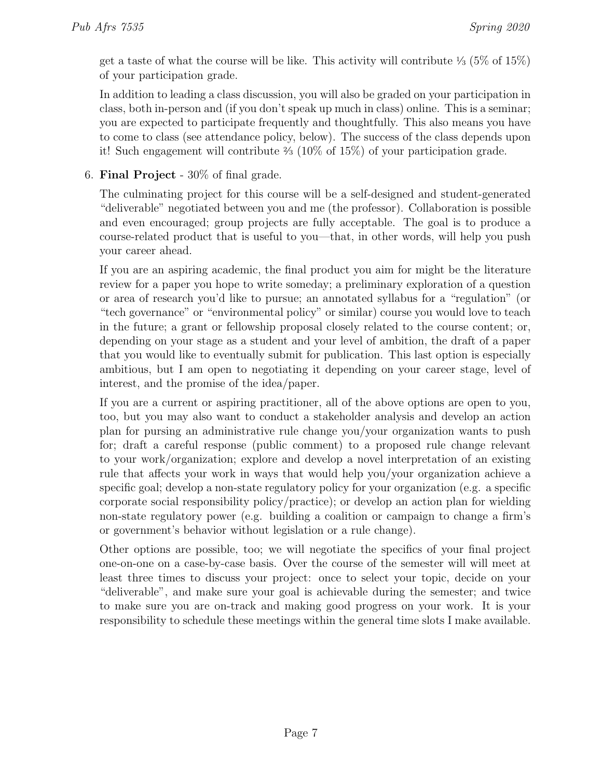get a taste of what the course will be like. This activity will contribute  $\frac{1}{3}$  (5% of 15%) of your participation grade.

In addition to leading a class discussion, you will also be graded on your participation in class, both in-person and (if you don't speak up much in class) online. This is a seminar; you are expected to participate frequently and thoughtfully. This also means you have to come to class (see attendance policy, below). The success of the class depends upon it! Such engagement will contribute <sup>2</sup> ⁄<sup>3</sup> (10% of 15%) of your participation grade.

6. Final Project - 30% of final grade.

The culminating project for this course will be a self-designed and student-generated "deliverable" negotiated between you and me (the professor). Collaboration is possible and even encouraged; group projects are fully acceptable. The goal is to produce a course-related product that is useful to you—that, in other words, will help you push your career ahead.

If you are an aspiring academic, the final product you aim for might be the literature review for a paper you hope to write someday; a preliminary exploration of a question or area of research you'd like to pursue; an annotated syllabus for a "regulation" (or "tech governance" or "environmental policy" or similar) course you would love to teach in the future; a grant or fellowship proposal closely related to the course content; or, depending on your stage as a student and your level of ambition, the draft of a paper that you would like to eventually submit for publication. This last option is especially ambitious, but I am open to negotiating it depending on your career stage, level of interest, and the promise of the idea/paper.

If you are a current or aspiring practitioner, all of the above options are open to you, too, but you may also want to conduct a stakeholder analysis and develop an action plan for pursing an administrative rule change you/your organization wants to push for; draft a careful response (public comment) to a proposed rule change relevant to your work/organization; explore and develop a novel interpretation of an existing rule that affects your work in ways that would help you/your organization achieve a specific goal; develop a non-state regulatory policy for your organization (e.g. a specific corporate social responsibility policy/practice); or develop an action plan for wielding non-state regulatory power (e.g. building a coalition or campaign to change a firm's or government's behavior without legislation or a rule change).

Other options are possible, too; we will negotiate the specifics of your final project one-on-one on a case-by-case basis. Over the course of the semester will will meet at least three times to discuss your project: once to select your topic, decide on your "deliverable", and make sure your goal is achievable during the semester; and twice to make sure you are on-track and making good progress on your work. It is your responsibility to schedule these meetings within the general time slots I make available.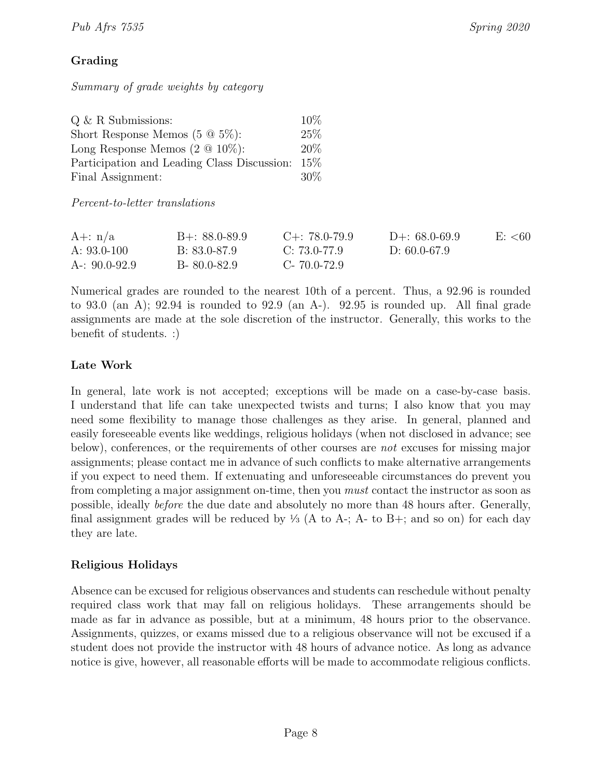# Grading

Summary of grade weights by category

| $Q \& R$ Submissions:                           | $10\%$ |
|-------------------------------------------------|--------|
| Short Response Memos $(5 \t@ 5\%)$ :            | 25%    |
| Long Response Memos $(2 \tQ 10\%)$ :            | $20\%$ |
| Participation and Leading Class Discussion: 15% |        |
| Final Assignment:                               | $30\%$ |

Percent-to-letter translations

<span id="page-7-0"></span>

| A $+:$ n/a        | $B + 88.0 - 89.9$ | $C_{+}$ : 78.0-79.9 | $D_{+}$ : 68.0-69.9 | E: 60 |
|-------------------|-------------------|---------------------|---------------------|-------|
| A: $93.0 - 100$   | B: 83.0-87.9      | C: 73.0-77.9        | D: 60.0-67.9        |       |
| A-: $90.0 - 92.9$ | $B-80.0-82.9$     | C-70.0-72.9         |                     |       |

Numerical grades are rounded to the nearest 10th of a percent. Thus, a 92.96 is rounded to 93.0 (an A); 92.94 is rounded to 92.9 (an A-). 92.95 is rounded up. All final grade assignments are made at the sole discretion of the instructor. Generally, this works to the benefit of students. :)

# Late Work

In general, late work is not accepted; exceptions will be made on a case-by-case basis. I understand that life can take unexpected twists and turns; I also know that you may need some flexibility to manage those challenges as they arise. In general, planned and easily foreseeable events like weddings, religious holidays (when not disclosed in advance; see below), conferences, or the requirements of other courses are not excuses for missing major assignments; please contact me in advance of such conflicts to make alternative arrangements if you expect to need them. If extenuating and unforeseeable circumstances do prevent you from completing a major assignment on-time, then you must contact the instructor as soon as possible, ideally before the due date and absolutely no more than 48 hours after. Generally, final assignment grades will be reduced by  $\frac{1}{3}$  (A to A-; A- to B+; and so on) for each day they are late.

# Religious Holidays

Absence can be excused for religious observances and students can reschedule without penalty required class work that may fall on religious holidays. These arrangements should be made as far in advance as possible, but at a minimum, 48 hours prior to the observance. Assignments, quizzes, or exams missed due to a religious observance will not be excused if a student does not provide the instructor with 48 hours of advance notice. As long as advance notice is give, however, all reasonable efforts will be made to accommodate religious conflicts.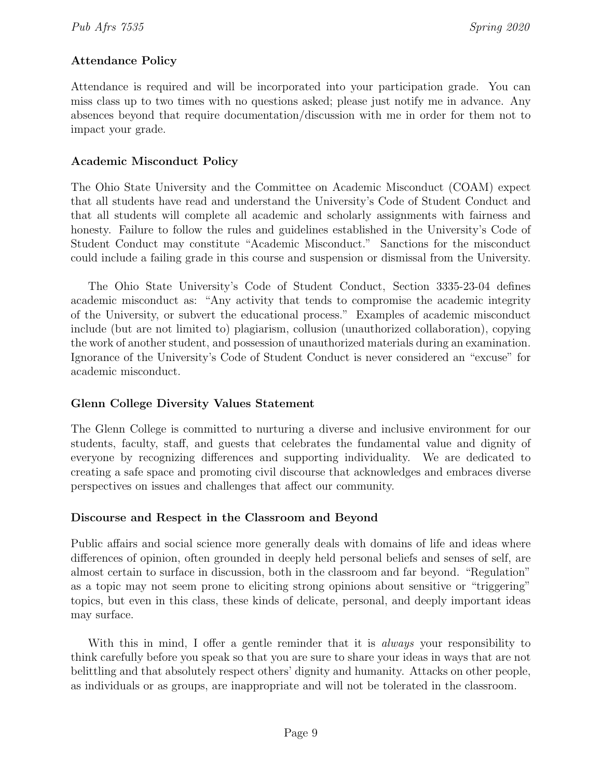# Attendance Policy

Attendance is required and will be incorporated into your participation grade. You can miss class up to two times with no questions asked; please just notify me in advance. Any absences beyond that require documentation/discussion with me in order for them not to impact your grade.

### Academic Misconduct Policy

The Ohio State University and the Committee on Academic Misconduct (COAM) expect that all students have read and understand the University's Code of Student Conduct and that all students will complete all academic and scholarly assignments with fairness and honesty. Failure to follow the rules and guidelines established in the University's Code of Student Conduct may constitute "Academic Misconduct." Sanctions for the misconduct could include a failing grade in this course and suspension or dismissal from the University.

The Ohio State University's Code of Student Conduct, Section 3335-23-04 defines academic misconduct as: "Any activity that tends to compromise the academic integrity of the University, or subvert the educational process." Examples of academic misconduct include (but are not limited to) plagiarism, collusion (unauthorized collaboration), copying the work of another student, and possession of unauthorized materials during an examination. Ignorance of the University's Code of Student Conduct is never considered an "excuse" for academic misconduct.

# Glenn College Diversity Values Statement

The Glenn College is committed to nurturing a diverse and inclusive environment for our students, faculty, staff, and guests that celebrates the fundamental value and dignity of everyone by recognizing differences and supporting individuality. We are dedicated to creating a safe space and promoting civil discourse that acknowledges and embraces diverse perspectives on issues and challenges that affect our community.

# Discourse and Respect in the Classroom and Beyond

Public affairs and social science more generally deals with domains of life and ideas where differences of opinion, often grounded in deeply held personal beliefs and senses of self, are almost certain to surface in discussion, both in the classroom and far beyond. "Regulation" as a topic may not seem prone to eliciting strong opinions about sensitive or "triggering" topics, but even in this class, these kinds of delicate, personal, and deeply important ideas may surface.

With this in mind, I offer a gentle reminder that it is *always* your responsibility to think carefully before you speak so that you are sure to share your ideas in ways that are not belittling and that absolutely respect others' dignity and humanity. Attacks on other people, as individuals or as groups, are inappropriate and will not be tolerated in the classroom.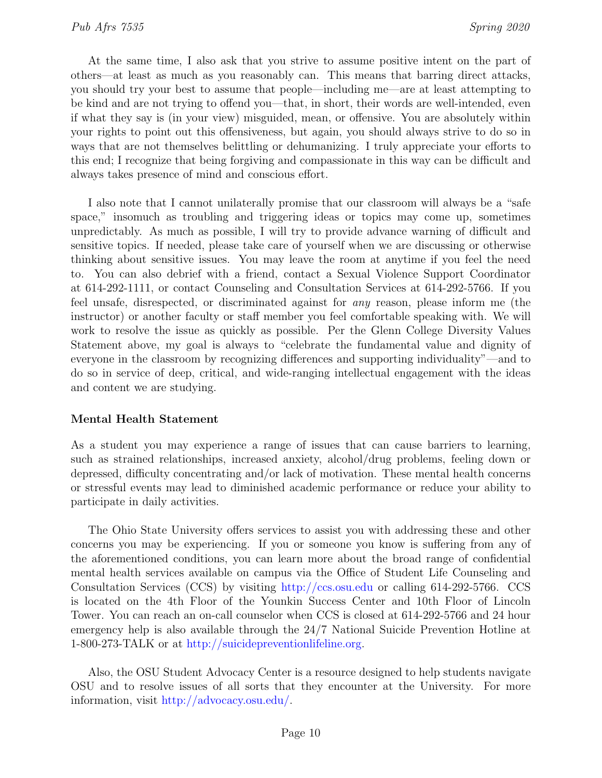At the same time, I also ask that you strive to assume positive intent on the part of others—at least as much as you reasonably can. This means that barring direct attacks, you should try your best to assume that people—including me—are at least attempting to be kind and are not trying to offend you—that, in short, their words are well-intended, even if what they say is (in your view) misguided, mean, or offensive. You are absolutely within your rights to point out this offensiveness, but again, you should always strive to do so in ways that are not themselves belittling or dehumanizing. I truly appreciate your efforts to this end; I recognize that being forgiving and compassionate in this way can be difficult and always takes presence of mind and conscious effort.

I also note that I cannot unilaterally promise that our classroom will always be a "safe space," insomuch as troubling and triggering ideas or topics may come up, sometimes unpredictably. As much as possible, I will try to provide advance warning of difficult and sensitive topics. If needed, please take care of yourself when we are discussing or otherwise thinking about sensitive issues. You may leave the room at anytime if you feel the need to. You can also debrief with a friend, contact a Sexual Violence Support Coordinator at 614-292-1111, or contact Counseling and Consultation Services at 614-292-5766. If you feel unsafe, disrespected, or discriminated against for any reason, please inform me (the instructor) or another faculty or staff member you feel comfortable speaking with. We will work to resolve the issue as quickly as possible. Per the Glenn College Diversity Values Statement above, my goal is always to "celebrate the fundamental value and dignity of everyone in the classroom by recognizing differences and supporting individuality"—and to do so in service of deep, critical, and wide-ranging intellectual engagement with the ideas and content we are studying.

### Mental Health Statement

As a student you may experience a range of issues that can cause barriers to learning, such as strained relationships, increased anxiety, alcohol/drug problems, feeling down or depressed, difficulty concentrating and/or lack of motivation. These mental health concerns or stressful events may lead to diminished academic performance or reduce your ability to participate in daily activities.

The Ohio State University offers services to assist you with addressing these and other concerns you may be experiencing. If you or someone you know is suffering from any of the aforementioned conditions, you can learn more about the broad range of confidential mental health services available on campus via the Office of Student Life Counseling and Consultation Services (CCS) by visiting <http://ccs.osu.edu> or calling 614-292-5766. CCS is located on the 4th Floor of the Younkin Success Center and 10th Floor of Lincoln Tower. You can reach an on-call counselor when CCS is closed at 614-292-5766 and 24 hour emergency help is also available through the 24/7 National Suicide Prevention Hotline at 1-800-273-TALK or at [http://suicidepreventionlifeline.org.](http://suicidepreventionlifeline.org)

Also, the OSU Student Advocacy Center is a resource designed to help students navigate OSU and to resolve issues of all sorts that they encounter at the University. For more information, visit [http://advocacy.osu.edu/.](http://advocacy.osu.edu/)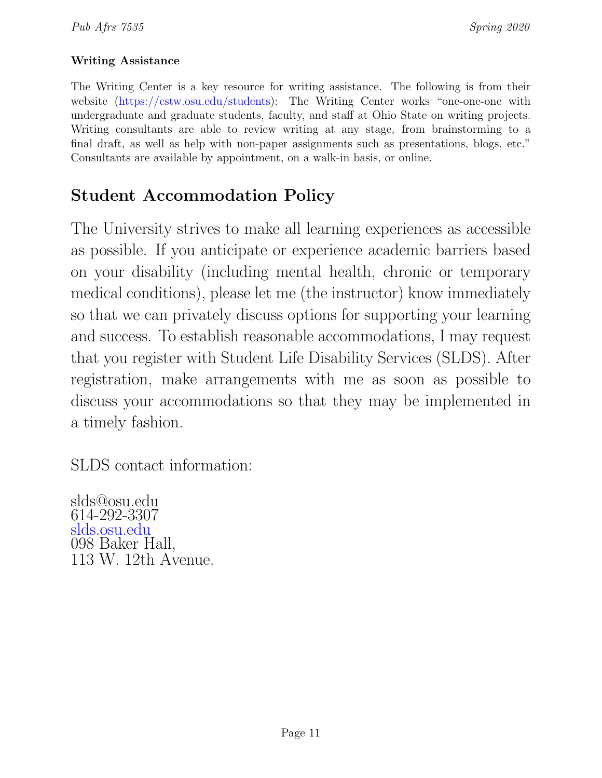# Writing Assistance

The Writing Center is a key resource for writing assistance. The following is from their website [\(https://cstw.osu.edu/students\)](https://cstw.osu.edu/students): The Writing Center works "one-one-one with undergraduate and graduate students, faculty, and staff at Ohio State on writing projects. Writing consultants are able to review writing at any stage, from brainstorming to a final draft, as well as help with non-paper assignments such as presentations, blogs, etc." Consultants are available by appointment, on a walk-in basis, or online.

# Student Accommodation Policy

The University strives to make all learning experiences as accessible as possible. If you anticipate or experience academic barriers based on your disability (including mental health, chronic or temporary medical conditions), please let me (the instructor) know immediately so that we can privately discuss options for supporting your learning and success. To establish reasonable accommodations, I may request that you register with Student Life Disability Services (SLDS). After registration, make arrangements with me as soon as possible to discuss your accommodations so that they may be implemented in a timely fashion.

SLDS contact information:

slds@osu.edu 614-292-3307 <slds.osu.edu> 098 Baker Hall, 113 W. 12th Avenue.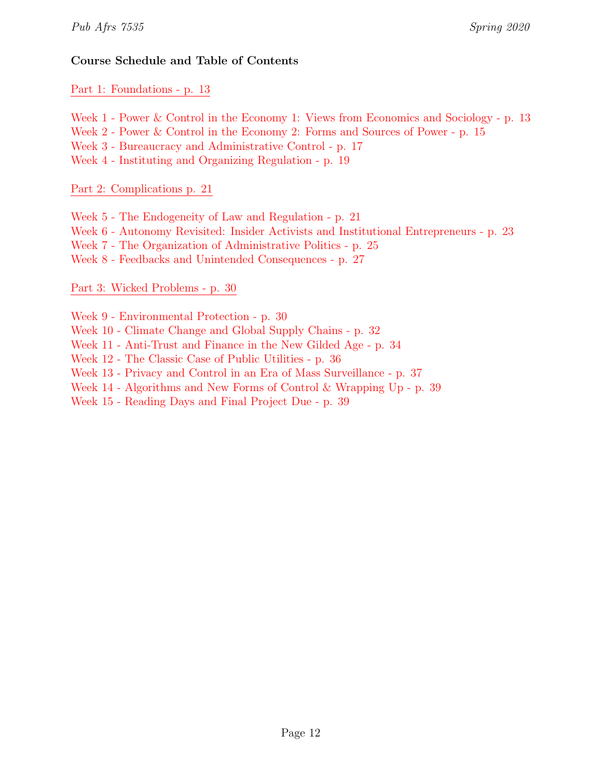# Course Schedule and Table of Contents

Part 1: [Foundations](#page-7-0) - p. 13

[Week 1 - Power & Control in the Economy 1: Views from Economics and Sociology - p. 13](#page-7-0)

[Week 2 - Power & Control in the Economy 2: Forms and Sources of Power - p. 15](#page-13-0)

[Week 3 - Bureaucracy and Administrative Control - p. 17](#page-14-0)

[Week 4 - Instituting and Organizing Regulation - p. 19](#page-14-0)

Part 2: [Complications](#page-19-0) p. 21

[Week 5 - The Endogeneity of Law and Regulation - p. 21](#page-19-0)

[Week 6 - Autonomy Revisited: Insider Activists and Institutional Entrepreneurs - p. 23](#page-21-0)

[Week 7 - The Organization of Administrative Politics - p. 25](#page-23-0)

[Week 8 - Feedbacks and Unintended Consequences - p. 27](#page-25-0)

# Part 3: Wicked [Problems](#page-28-0) - p. 30

[Week 9 - Environmental Protection - p. 30](#page-28-0)

- [Week 10 Climate Change and Global Supply Chains p. 32](#page-30-0)
- [Week 11 Anti-Trust and Finance in the New Gilded Age p. 34](#page-31-0)

[Week 12 - The Classic Case of Public Utilities - p. 36](#page-33-0)

[Week 13 - Privacy and Control in an Era of Mass Surveillance - p. 37](#page-35-0)

[Week 14 - Algorithms and New Forms of Control & Wrapping Up - p. 39](#page-37-0)

[Week 15 - Reading Days and Final Project Due - p. 39](#page-38-0)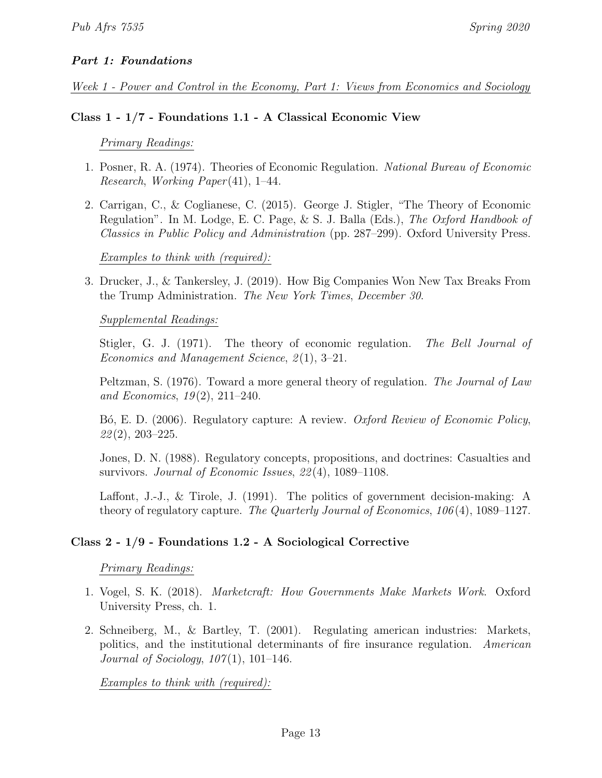# Part 1: Foundations

Week 1 - Power and Control in the Economy, Part 1: Views from Economics and Sociology

### Class 1 - 1/7 - Foundations 1.1 - A Classical Economic View

### Primary Readings:

- 1. Posner, R. A. (1974). Theories of Economic Regulation. National Bureau of Economic Research, Working Paper (41), 1–44.
- 2. Carrigan, C., & Coglianese, C. (2015). George J. Stigler, "The Theory of Economic Regulation". In M. Lodge, E. C. Page, & S. J. Balla (Eds.), The Oxford Handbook of Classics in Public Policy and Administration (pp. 287–299). Oxford University Press.

### Examples to think with (required):

3. Drucker, J., & Tankersley, J. (2019). How Big Companies Won New Tax Breaks From the Trump Administration. The New York Times, December 30.

### Supplemental Readings:

Stigler, G. J. (1971). The theory of economic regulation. The Bell Journal of Economics and Management Science, 2(1), 3–21.

Peltzman, S. (1976). Toward a more general theory of regulation. The Journal of Law and Economics,  $19(2)$ ,  $211-240$ .

B<sub>o</sub>, E. D. (2006). Regulatory capture: A review. *Oxford Review of Economic Policy*,  $22(2)$ , 203-225.

Jones, D. N. (1988). Regulatory concepts, propositions, and doctrines: Casualties and survivors. *Journal of Economic Issues*, 22(4), 1089–1108.

Laffont, J.-J., & Tirole, J. (1991). The politics of government decision-making: A theory of regulatory capture. The Quarterly Journal of Economics, 106 (4), 1089–1127.

# Class 2 - 1/9 - Foundations 1.2 - A Sociological Corrective

Primary Readings:

- 1. Vogel, S. K. (2018). Marketcraft: How Governments Make Markets Work. Oxford University Press, ch. 1.
- 2. Schneiberg, M., & Bartley, T. (2001). Regulating american industries: Markets, politics, and the institutional determinants of fire insurance regulation. American *Journal of Sociology, 107(1), 101–146.*

Examples to think with (required):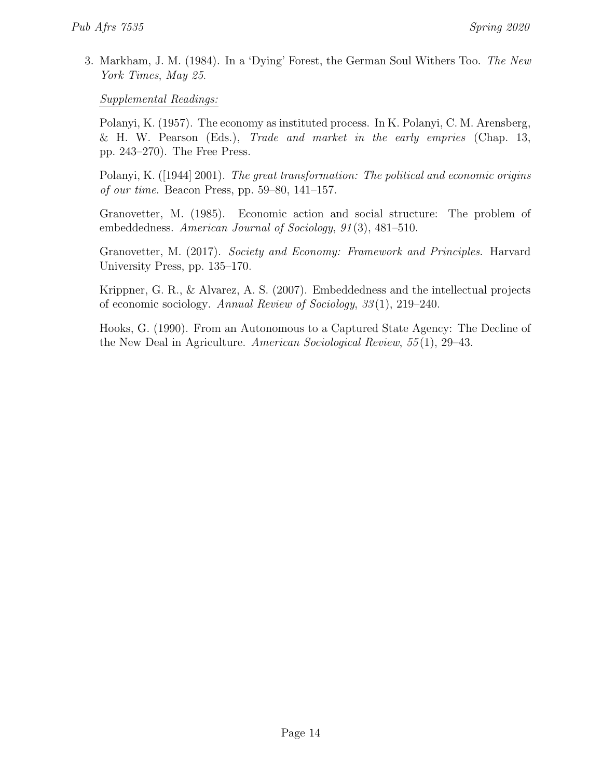<span id="page-13-0"></span>3. Markham, J. M. (1984). In a 'Dying' Forest, the German Soul Withers Too. The New York Times, May 25.

Supplemental Readings:

Polanyi, K. (1957). The economy as instituted process. In K. Polanyi, C. M. Arensberg, & H. W. Pearson (Eds.), Trade and market in the early empries (Chap. 13, pp. 243–270). The Free Press.

Polanyi, K. ([1944] 2001). The great transformation: The political and economic origins of our time. Beacon Press, pp.  $59-80$ ,  $141-157$ .

Granovetter, M. (1985). Economic action and social structure: The problem of embeddedness. American Journal of Sociology, 91(3), 481–510.

Granovetter, M. (2017). Society and Economy: Framework and Principles. Harvard University Press, pp. 135–170.

Krippner, G. R., & Alvarez, A. S. (2007). Embeddedness and the intellectual projects of economic sociology. Annual Review of Sociology, 33 (1), 219–240.

Hooks, G. (1990). From an Autonomous to a Captured State Agency: The Decline of the New Deal in Agriculture. American Sociological Review, 55 (1), 29–43.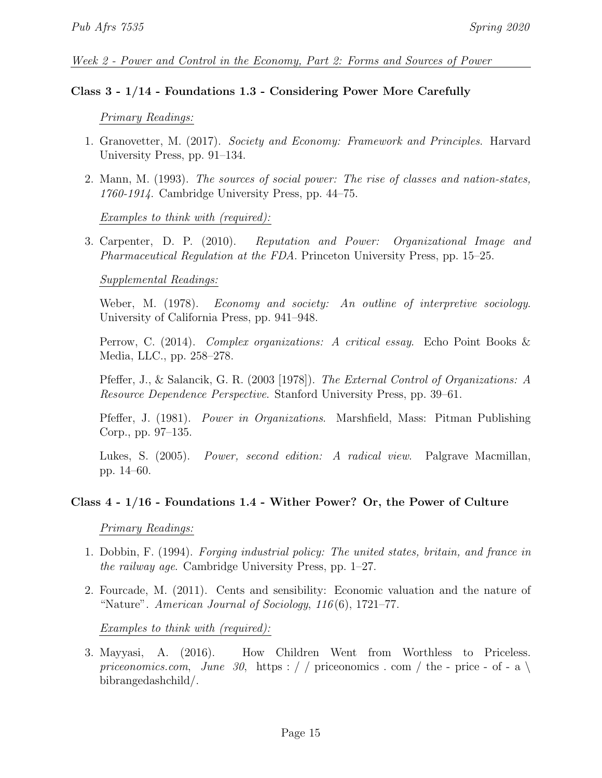#### Week 2 - Power and Control in the Economy, Part 2: Forms and Sources of Power

#### Class 3 - 1/14 - Foundations 1.3 - Considering Power More Carefully

#### Primary Readings:

- 1. Granovetter, M. (2017). Society and Economy: Framework and Principles. Harvard University Press, pp. 91–134.
- 2. Mann, M. (1993). The sources of social power: The rise of classes and nation-states, 1760-1914. Cambridge University Press, pp. 44–75.

Examples to think with (required):

3. Carpenter, D. P. (2010). Reputation and Power: Organizational Image and Pharmaceutical Regulation at the FDA. Princeton University Press, pp. 15–25.

#### Supplemental Readings:

Weber, M. (1978). Economy and society: An outline of interpretive sociology. University of California Press, pp. 941–948.

Perrow, C. (2014). Complex organizations: A critical essay. Echo Point Books & Media, LLC., pp. 258–278.

Pfeffer, J., & Salancik, G. R. (2003 [1978]). The External Control of Organizations: A Resource Dependence Perspective. Stanford University Press, pp. 39–61.

Pfeffer, J. (1981). Power in Organizations. Marshfield, Mass: Pitman Publishing Corp., pp. 97–135.

Lukes, S. (2005). Power, second edition: A radical view. Palgrave Macmillan, pp. 14–60.

#### Class 4 - 1/16 - Foundations 1.4 - Wither Power? Or, the Power of Culture

Primary Readings:

- 1. Dobbin, F. (1994). Forging industrial policy: The united states, britain, and france in the railway age. Cambridge University Press, pp. 1–27.
- 2. Fourcade, M. (2011). Cents and sensibility: Economic valuation and the nature of "Nature". American Journal of Sociology,  $116(6)$ , 1721–77.

Examples to think with (required):

<span id="page-14-0"></span>3. Mayyasi, A. (2016). How Children Went from Worthless to Priceless. priceonomics.com, June 30, [https : / / priceonomics . com / the - price - of - a](https://priceonomics.com/the-price-of-a\bibrangedash child/)  $\setminus$ [bibrangedashchild/.](https://priceonomics.com/the-price-of-a\bibrangedash child/)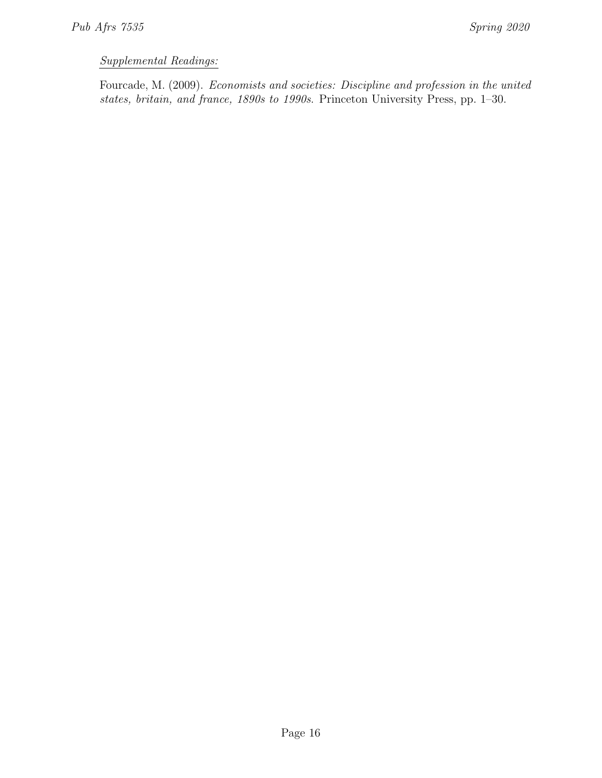# Supplemental Readings:

Fourcade, M. (2009). Economists and societies: Discipline and profession in the united states, britain, and france, 1890s to 1990s. Princeton University Press, pp. 1–30.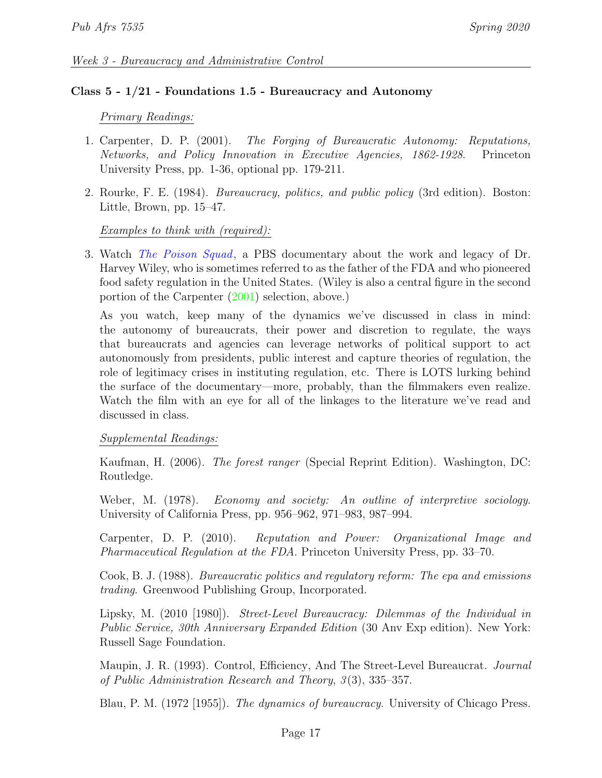### Class 5 - 1/21 - Foundations 1.5 - Bureaucracy and Autonomy

### Primary Readings:

- 1. Carpenter, D. P. (2001). The Forging of Bureaucratic Autonomy: Reputations, Networks, and Policy Innovation in Executive Agencies, 1862-1928. Princeton University Press, pp. 1-36, optional pp. 179-211.
- 2. Rourke, F. E. (1984). Bureaucracy, politics, and public policy (3rd edition). Boston: Little, Brown, pp. 15–47.

### Examples to think with (required):

3. Watch [The Poison Squad](https://www.pbs.org/wgbh/americanexperience/films/poison-squad/), a PBS documentary about the work and legacy of Dr. Harvey Wiley, who is sometimes referred to as the father of the FDA and who pioneered food safety regulation in the United States. (Wiley is also a central figure in the second portion of the Carpenter [\(2001\)](#page-0-0) selection, above.)

As you watch, keep many of the dynamics we've discussed in class in mind: the autonomy of bureaucrats, their power and discretion to regulate, the ways that bureaucrats and agencies can leverage networks of political support to act autonomously from presidents, public interest and capture theories of regulation, the role of legitimacy crises in instituting regulation, etc. There is LOTS lurking behind the surface of the documentary—more, probably, than the filmmakers even realize. Watch the film with an eye for all of the linkages to the literature we've read and discussed in class.

### Supplemental Readings:

Kaufman, H. (2006). The forest ranger (Special Reprint Edition). Washington, DC: Routledge.

Weber, M. (1978). Economy and society: An outline of interpretive sociology. University of California Press, pp. 956–962, 971–983, 987–994.

Carpenter, D. P. (2010). Reputation and Power: Organizational Image and Pharmaceutical Regulation at the FDA. Princeton University Press, pp. 33–70.

Cook, B. J. (1988). Bureaucratic politics and regulatory reform: The epa and emissions trading. Greenwood Publishing Group, Incorporated.

Lipsky, M. (2010 [1980]). Street-Level Bureaucracy: Dilemmas of the Individual in Public Service, 30th Anniversary Expanded Edition (30 Any Exp edition). New York: Russell Sage Foundation.

Maupin, J. R. (1993). Control, Efficiency, And The Street-Level Bureaucrat. *Journal* of Public Administration Research and Theory,  $3(3)$ ,  $335-357$ .

Blau, P. M. (1972 [1955]). The dynamics of bureaucracy. University of Chicago Press.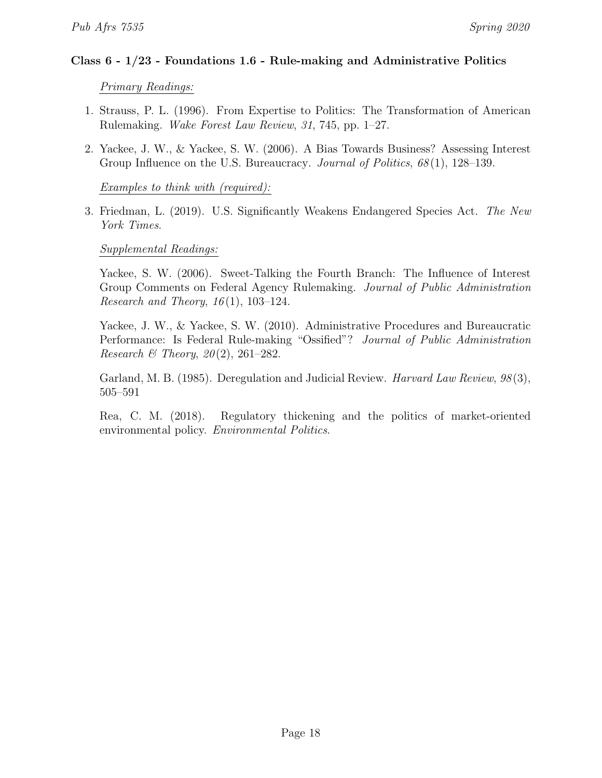### Class  $6 - 1/23$  - Foundations 1.6 - Rule-making and Administrative Politics

Primary Readings:

- 1. Strauss, P. L. (1996). From Expertise to Politics: The Transformation of American Rulemaking. Wake Forest Law Review, 31, 745, pp. 1–27.
- 2. Yackee, J. W., & Yackee, S. W. (2006). A Bias Towards Business? Assessing Interest Group Influence on the U.S. Bureaucracy. Journal of Politics,  $68(1)$ , 128–139.

Examples to think with (required):

3. Friedman, L. (2019). U.S. Significantly Weakens Endangered Species Act. The New York Times.

### Supplemental Readings:

Yackee, S. W. (2006). Sweet-Talking the Fourth Branch: The Influence of Interest Group Comments on Federal Agency Rulemaking. Journal of Public Administration Research and Theory,  $16(1)$ , 103-124.

Yackee, J. W., & Yackee, S. W. (2010). Administrative Procedures and Bureaucratic Performance: Is Federal Rule-making "Ossified"? Journal of Public Administration Research & Theory,  $20(2)$ ,  $261-282$ .

Garland, M. B. (1985). Deregulation and Judicial Review. *Harvard Law Review*, 98(3), 505–591

Rea, C. M. (2018). Regulatory thickening and the politics of market-oriented environmental policy. Environmental Politics.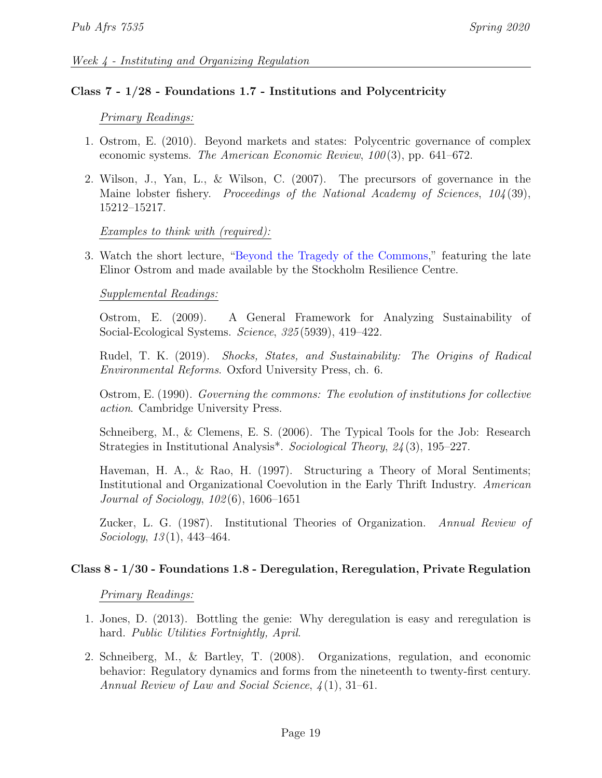### Class 7 - 1/28 - Foundations 1.7 - Institutions and Polycentricity

### Primary Readings:

- 1. Ostrom, E. (2010). Beyond markets and states: Polycentric governance of complex economic systems. The American Economic Review,  $100(3)$ , pp. 641–672.
- 2. Wilson, J., Yan, L., & Wilson, C. (2007). The precursors of governance in the Maine lobster fishery. Proceedings of the National Academy of Sciences, 104(39), 15212–15217.

### Examples to think with (required):

3. Watch the short lecture, ["Beyond the Tragedy of the Commons,](https://www.youtub e.com/watch?v=ByXM47Ri1Kc&t=6s)" featuring the late Elinor Ostrom and made available by the Stockholm Resilience Centre.

### Supplemental Readings:

Ostrom, E. (2009). A General Framework for Analyzing Sustainability of Social-Ecological Systems. Science, 325 (5939), 419–422.

Rudel, T. K. (2019). Shocks, States, and Sustainability: The Origins of Radical Environmental Reforms. Oxford University Press, ch. 6.

Ostrom, E. (1990). Governing the commons: The evolution of institutions for collective action. Cambridge University Press.

Schneiberg, M., & Clemens, E. S. (2006). The Typical Tools for the Job: Research Strategies in Institutional Analysis\*. Sociological Theory, 24 (3), 195–227.

Haveman, H. A., & Rao, H. (1997). Structuring a Theory of Moral Sentiments; Institutional and Organizational Coevolution in the Early Thrift Industry. American Journal of Sociology, 102 (6), 1606–1651

Zucker, L. G. (1987). Institutional Theories of Organization. Annual Review of Sociology,  $13(1)$ ,  $443-464$ .

### Class 8 - 1/30 - Foundations 1.8 - Deregulation, Reregulation, Private Regulation

### Primary Readings:

- 1. Jones, D. (2013). Bottling the genie: Why deregulation is easy and reregulation is hard. Public Utilities Fortnightly, April.
- 2. Schneiberg, M., & Bartley, T. (2008). Organizations, regulation, and economic behavior: Regulatory dynamics and forms from the nineteenth to twenty-first century. Annual Review of Law and Social Science, 4 (1), 31–61.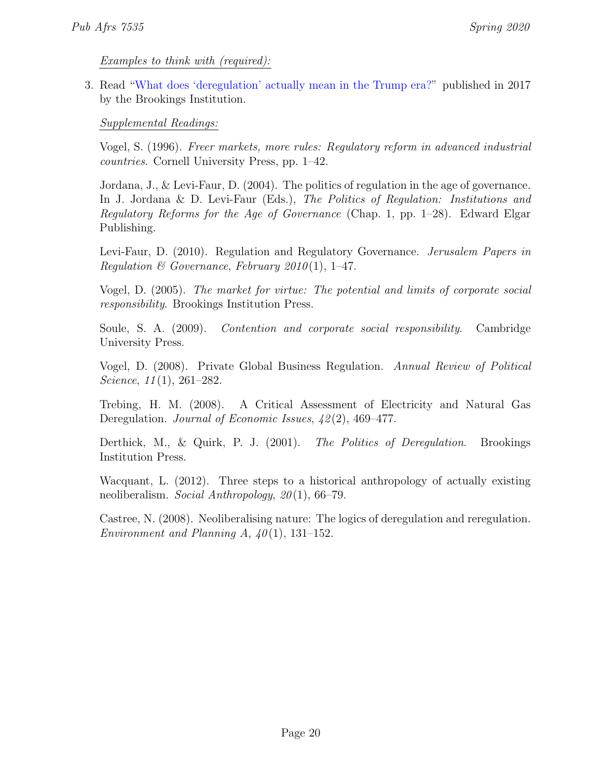Examples to think with (required):

<span id="page-19-0"></span>3. Read ["What does 'deregulation' actually mean in the Trump era?"](https://www.brookings.edu/research/what-does-deregulation-actually-mean-in-the-trump-era/) published in 2017 by the Brookings Institution.

Supplemental Readings:

Vogel, S. (1996). Freer markets, more rules: Regulatory reform in advanced industrial countries. Cornell University Press, pp. 1–42.

Jordana, J., & Levi-Faur, D. (2004). The politics of regulation in the age of governance. In J. Jordana & D. Levi-Faur (Eds.), The Politics of Regulation: Institutions and Regulatory Reforms for the Age of Governance (Chap. 1, pp. 1–28). Edward Elgar Publishing.

Levi-Faur, D. (2010). Regulation and Regulatory Governance. *Jerusalem Papers in* Regulation & Governance, February 2010(1), 1-47.

Vogel, D. (2005). The market for virtue: The potential and limits of corporate social responsibility. Brookings Institution Press.

Soule, S. A. (2009). Contention and corporate social responsibility. Cambridge University Press.

Vogel, D. (2008). Private Global Business Regulation. Annual Review of Political Science,  $11(1)$ ,  $261-282$ .

Trebing, H. M. (2008). A Critical Assessment of Electricity and Natural Gas Deregulation. Journal of Economic Issues,  $\frac{42(2)}{1, 469-477}$ .

Derthick, M., & Quirk, P. J. (2001). The Politics of Deregulation. Brookings Institution Press.

Wacquant, L. (2012). Three steps to a historical anthropology of actually existing neoliberalism. Social Anthropology, 20 (1), 66–79.

Castree, N. (2008). Neoliberalising nature: The logics of deregulation and reregulation. Environment and Planning A,  $40(1)$ , 131–152.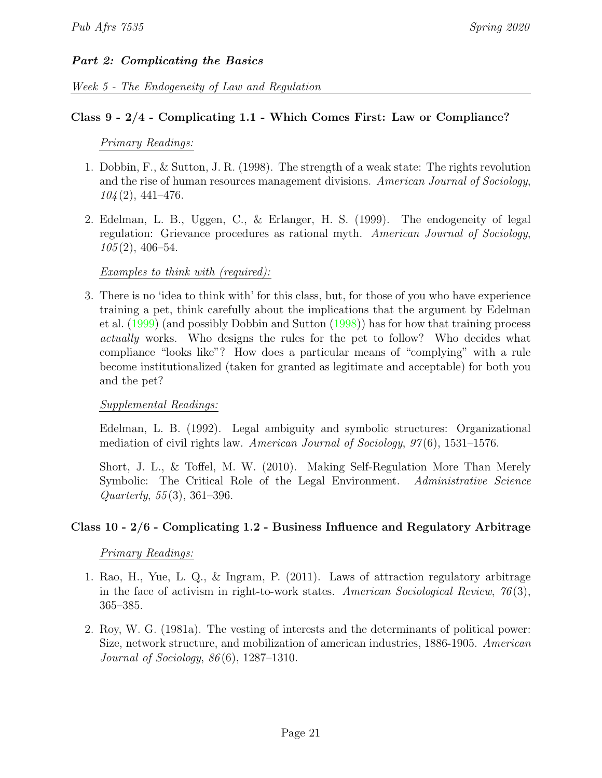# Part 2: Complicating the Basics

### Week 5 - The Endogeneity of Law and Regulation

### Class 9 - 2/4 - Complicating 1.1 - Which Comes First: Law or Compliance?

### Primary Readings:

- 1. Dobbin, F., & Sutton, J. R. (1998). The strength of a weak state: The rights revolution and the rise of human resources management divisions. American Journal of Sociology,  $104(2)$ , 441–476.
- 2. Edelman, L. B., Uggen, C., & Erlanger, H. S. (1999). The endogeneity of legal regulation: Grievance procedures as rational myth. American Journal of Sociology,  $105(2)$ , 406–54.

### Examples to think with (required):

3. There is no 'idea to think with' for this class, but, for those of you who have experience training a pet, think carefully about the implications that the argument by Edelman et al. [\(1999\)](#page-0-0) (and possibly Dobbin and Sutton [\(1998\)](#page-0-0)) has for how that training process actually works. Who designs the rules for the pet to follow? Who decides what compliance "looks like"? How does a particular means of "complying" with a rule become institutionalized (taken for granted as legitimate and acceptable) for both you and the pet?

### Supplemental Readings:

Edelman, L. B. (1992). Legal ambiguity and symbolic structures: Organizational mediation of civil rights law. American Journal of Sociology,  $97(6)$ , 1531–1576.

Short, J. L., & Toffel, M. W. (2010). Making Self-Regulation More Than Merely Symbolic: The Critical Role of the Legal Environment. Administrative Science Quarterly, 55 (3), 361–396.

### Class 10 - 2/6 - Complicating 1.2 - Business Influence and Regulatory Arbitrage

### Primary Readings:

- 1. Rao, H., Yue, L. Q., & Ingram, P. (2011). Laws of attraction regulatory arbitrage in the face of activism in right-to-work states. American Sociological Review,  $76(3)$ , 365–385.
- 2. Roy, W. G. (1981a). The vesting of interests and the determinants of political power: Size, network structure, and mobilization of american industries, 1886-1905. American Journal of Sociology, 86 (6), 1287–1310.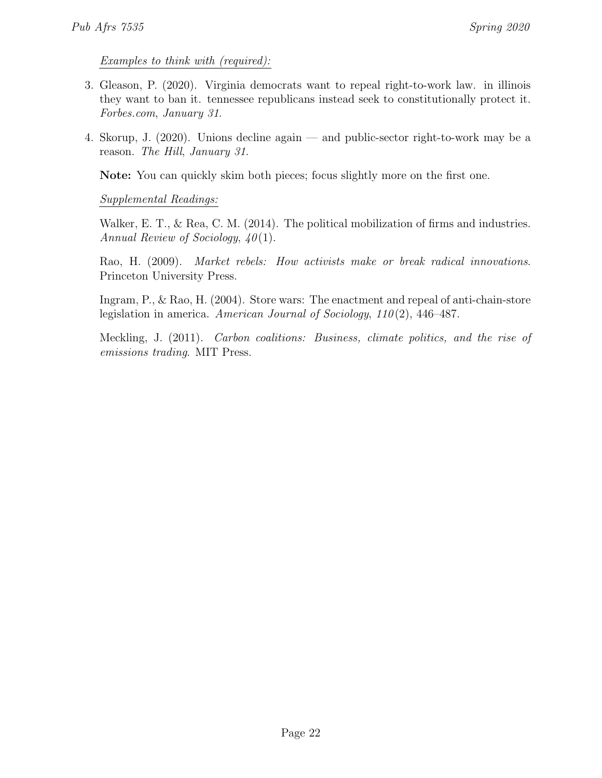Examples to think with (required):

- 3. Gleason, P. (2020). Virginia democrats want to repeal right-to-work law. in illinois they want to ban it. tennessee republicans instead seek to constitutionally protect it. Forbes.com, January 31.
- <span id="page-21-0"></span>4. Skorup, J. (2020). Unions decline again — and public-sector right-to-work may be a reason. The Hill, January 31.

Note: You can quickly skim both pieces; focus slightly more on the first one.

Supplemental Readings:

Walker, E. T., & Rea, C. M. (2014). The political mobilization of firms and industries. Annual Review of Sociology,  $40(1)$ .

Rao, H. (2009). Market rebels: How activists make or break radical innovations. Princeton University Press.

Ingram, P., & Rao, H. (2004). Store wars: The enactment and repeal of anti-chain-store legislation in america. American Journal of Sociology,  $110(2)$ ,  $446-487$ .

Meckling, J. (2011). Carbon coalitions: Business, climate politics, and the rise of emissions trading. MIT Press.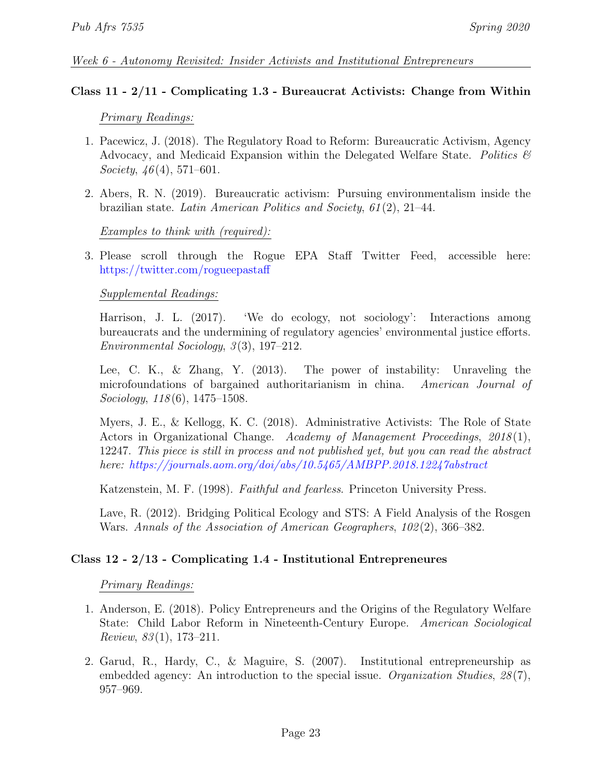### Week 6 - Autonomy Revisited: Insider Activists and Institutional Entrepreneurs

### Class 11 - 2/11 - Complicating 1.3 - Bureaucrat Activists: Change from Within

### Primary Readings:

- 1. Pacewicz, J. (2018). The Regulatory Road to Reform: Bureaucratic Activism, Agency Advocacy, and Medicaid Expansion within the Delegated Welfare State. Politics  $\mathcal{C}$ Society,  $46(4)$ , 571–601.
- 2. Abers, R. N. (2019). Bureaucratic activism: Pursuing environmentalism inside the brazilian state. Latin American Politics and Society, 61 (2), 21–44.

### Examples to think with (required):

3. Please scroll through the Rogue EPA Staff Twitter Feed, accessible here: <https://twitter.com/rogueepastaff>

### Supplemental Readings:

Harrison, J. L. (2017). 'We do ecology, not sociology': Interactions among bureaucrats and the undermining of regulatory agencies' environmental justice efforts. Environmental Sociology,  $3(3)$ , 197–212.

Lee, C. K., & Zhang, Y. (2013). The power of instability: Unraveling the microfoundations of bargained authoritarianism in china. American Journal of  $Sociology, 118(6), 1475-1508.$ 

Myers, J. E., & Kellogg, K. C. (2018). Administrative Activists: The Role of State Actors in Organizational Change. Academy of Management Proceedings, 2018(1), 12247. This piece is still in process and not published yet, but you can read the abstract here: <https://journals.aom.org/doi/abs/10.5465/AMBPP.2018.12247abstract>

Katzenstein, M. F. (1998). Faithful and fearless. Princeton University Press.

Lave, R. (2012). Bridging Political Ecology and STS: A Field Analysis of the Rosgen Wars. Annals of the Association of American Geographers, 102 (2), 366–382.

# Class 12 - 2/13 - Complicating 1.4 - Institutional Entrepreneures

### Primary Readings:

- 1. Anderson, E. (2018). Policy Entrepreneurs and the Origins of the Regulatory Welfare State: Child Labor Reform in Nineteenth-Century Europe. American Sociological Review,  $83(1)$ , 173–211.
- 2. Garud, R., Hardy, C., & Maguire, S. (2007). Institutional entrepreneurship as embedded agency: An introduction to the special issue. *Organization Studies*,  $28(7)$ , 957–969.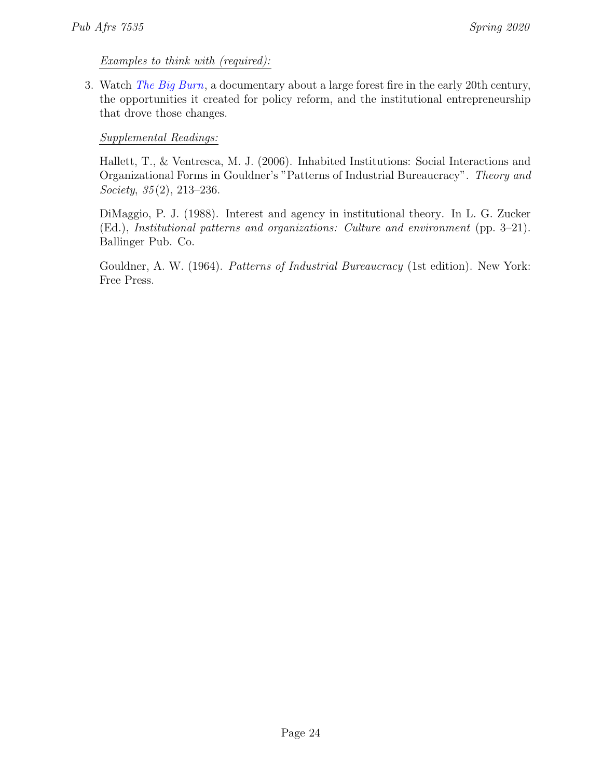Examples to think with (required):

<span id="page-23-0"></span>3. Watch [The Big Burn](https://www.pbs.org/wgbh/americanexperience/films/burn/), a documentary about a large forest fire in the early 20th century, the opportunities it created for policy reform, and the institutional entrepreneurship that drove those changes.

# Supplemental Readings:

Hallett, T., & Ventresca, M. J. (2006). Inhabited Institutions: Social Interactions and Organizational Forms in Gouldner's "Patterns of Industrial Bureaucracy". Theory and Society,  $35(2)$ ,  $213-236$ .

DiMaggio, P. J. (1988). Interest and agency in institutional theory. In L. G. Zucker (Ed.), Institutional patterns and organizations: Culture and environment (pp. 3–21). Ballinger Pub. Co.

Gouldner, A. W. (1964). Patterns of Industrial Bureaucracy (1st edition). New York: Free Press.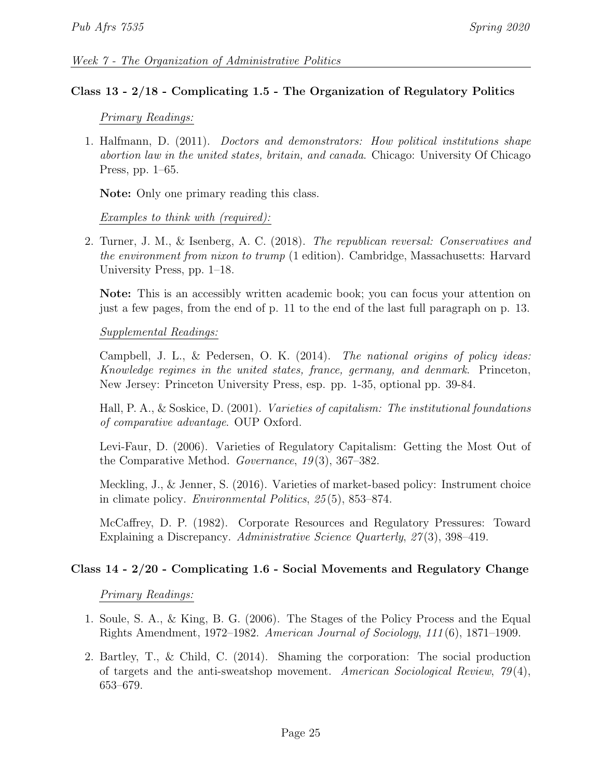### Class 13 - 2/18 - Complicating 1.5 - The Organization of Regulatory Politics

### Primary Readings:

1. Halfmann, D. (2011). Doctors and demonstrators: How political institutions shape abortion law in the united states, britain, and canada. Chicago: University Of Chicago Press, pp. 1–65.

Note: Only one primary reading this class.

Examples to think with (required):

2. Turner, J. M., & Isenberg, A. C. (2018). The republican reversal: Conservatives and the environment from nixon to trump (1 edition). Cambridge, Massachusetts: Harvard University Press, pp. 1–18.

Note: This is an accessibly written academic book; you can focus your attention on just a few pages, from the end of p. 11 to the end of the last full paragraph on p. 13.

### Supplemental Readings:

Campbell, J. L., & Pedersen, O. K. (2014). The national origins of policy ideas: Knowledge regimes in the united states, france, germany, and denmark. Princeton, New Jersey: Princeton University Press, esp. pp. 1-35, optional pp. 39-84.

Hall, P. A., & Soskice, D. (2001). Varieties of capitalism: The institutional foundations of comparative advantage. OUP Oxford.

Levi-Faur, D. (2006). Varieties of Regulatory Capitalism: Getting the Most Out of the Comparative Method. Governance,  $19(3)$ ,  $367-382$ .

Meckling, J., & Jenner, S. (2016). Varieties of market-based policy: Instrument choice in climate policy. Environmental Politics, 25 (5), 853–874.

McCaffrey, D. P. (1982). Corporate Resources and Regulatory Pressures: Toward Explaining a Discrepancy. Administrative Science Quarterly, 27(3), 398–419.

# Class 14 - 2/20 - Complicating 1.6 - Social Movements and Regulatory Change

Primary Readings:

- 1. Soule, S. A., & King, B. G. (2006). The Stages of the Policy Process and the Equal Rights Amendment, 1972–1982. American Journal of Sociology, 111 (6), 1871–1909.
- 2. Bartley, T., & Child, C. (2014). Shaming the corporation: The social production of targets and the anti-sweatshop movement. American Sociological Review, 79 (4), 653–679.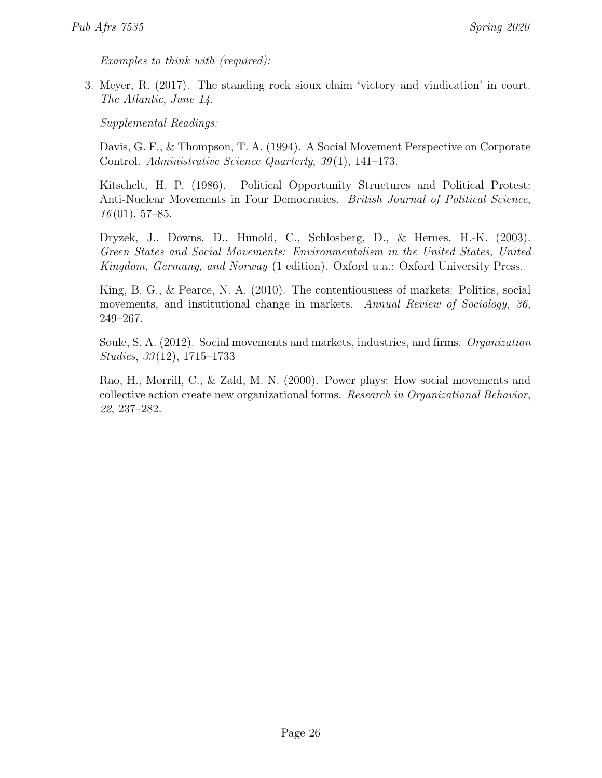Examples to think with (required):

<span id="page-25-0"></span>3. Meyer, R. (2017). The standing rock sioux claim 'victory and vindication' in court. The Atlantic, June 14.

Supplemental Readings:

Davis, G. F., & Thompson, T. A. (1994). A Social Movement Perspective on Corporate Control. Administrative Science Quarterly, 39(1), 141–173.

Kitschelt, H. P. (1986). Political Opportunity Structures and Political Protest: Anti-Nuclear Movements in Four Democracies. *British Journal of Political Science*,  $16(01), 57-85.$ 

Dryzek, J., Downs, D., Hunold, C., Schlosberg, D., & Hernes, H.-K. (2003). Green States and Social Movements: Environmentalism in the United States, United Kingdom, Germany, and Norway (1 edition). Oxford u.a.: Oxford University Press.

King, B. G., & Pearce, N. A. (2010). The contentiousness of markets: Politics, social movements, and institutional change in markets. Annual Review of Sociology, 36, 249–267.

Soule, S. A. (2012). Social movements and markets, industries, and firms. Organization Studies, 33 (12), 1715–1733

Rao, H., Morrill, C., & Zald, M. N. (2000). Power plays: How social movements and collective action create new organizational forms. Research in Organizational Behavior, 22, 237–282.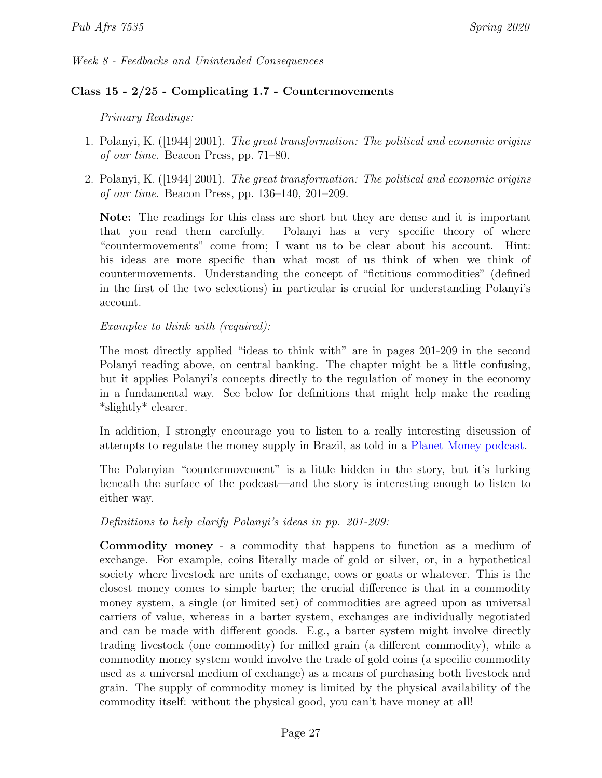### Class 15 - 2/25 - Complicating 1.7 - Countermovements

### Primary Readings:

- 1. Polanyi, K. ([1944] 2001). The great transformation: The political and economic origins of our time. Beacon Press, pp. 71–80.
- 2. Polanyi, K. ([1944] 2001). The great transformation: The political and economic origins of our time. Beacon Press, pp. 136–140, 201–209.

Note: The readings for this class are short but they are dense and it is important that you read them carefully. Polanyi has a very specific theory of where "countermovements" come from; I want us to be clear about his account. Hint: his ideas are more specific than what most of us think of when we think of countermovements. Understanding the concept of "fictitious commodities" (defined in the first of the two selections) in particular is crucial for understanding Polanyi's account.

### Examples to think with (required):

The most directly applied "ideas to think with" are in pages 201-209 in the second Polanyi reading above, on central banking. The chapter might be a little confusing, but it applies Polanyi's concepts directly to the regulation of money in the economy in a fundamental way. See below for definitions that might help make the reading \*slightly\* clearer.

In addition, I strongly encourage you to listen to a really interesting discussion of attempts to regulate the money supply in Brazil, as told in a [Planet Money podcast.](https://www.npr.org/sections/money/2015/12/02/458222801/episode-216-how-four-drinking-buddies-saved-brazil)

The Polanyian "countermovement" is a little hidden in the story, but it's lurking beneath the surface of the podcast—and the story is interesting enough to listen to either way.

# Definitions to help clarify Polanyi's ideas in pp. 201-209:

Commodity money - a commodity that happens to function as a medium of exchange. For example, coins literally made of gold or silver, or, in a hypothetical society where livestock are units of exchange, cows or goats or whatever. This is the closest money comes to simple barter; the crucial difference is that in a commodity money system, a single (or limited set) of commodities are agreed upon as universal carriers of value, whereas in a barter system, exchanges are individually negotiated and can be made with different goods. E.g., a barter system might involve directly trading livestock (one commodity) for milled grain (a different commodity), while a commodity money system would involve the trade of gold coins (a specific commodity used as a universal medium of exchange) as a means of purchasing both livestock and grain. The supply of commodity money is limited by the physical availability of the commodity itself: without the physical good, you can't have money at all!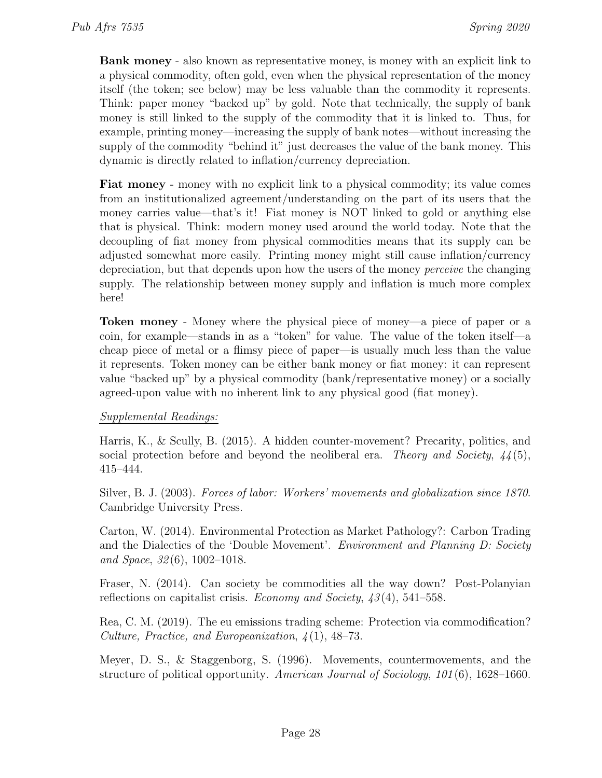Bank money - also known as representative money, is money with an explicit link to a physical commodity, often gold, even when the physical representation of the money itself (the token; see below) may be less valuable than the commodity it represents. Think: paper money "backed up" by gold. Note that technically, the supply of bank money is still linked to the supply of the commodity that it is linked to. Thus, for example, printing money—increasing the supply of bank notes—without increasing the supply of the commodity "behind it" just decreases the value of the bank money. This dynamic is directly related to inflation/currency depreciation.

Fiat money - money with no explicit link to a physical commodity; its value comes from an institutionalized agreement/understanding on the part of its users that the money carries value—that's it! Fiat money is NOT linked to gold or anything else that is physical. Think: modern money used around the world today. Note that the decoupling of fiat money from physical commodities means that its supply can be adjusted somewhat more easily. Printing money might still cause inflation/currency depreciation, but that depends upon how the users of the money perceive the changing supply. The relationship between money supply and inflation is much more complex here!

Token money - Money where the physical piece of money—a piece of paper or a coin, for example—stands in as a "token" for value. The value of the token itself—a cheap piece of metal or a flimsy piece of paper—is usually much less than the value it represents. Token money can be either bank money or fiat money: it can represent value "backed up" by a physical commodity (bank/representative money) or a socially agreed-upon value with no inherent link to any physical good (fiat money).

# Supplemental Readings:

Harris, K., & Scully, B. (2015). A hidden counter-movement? Precarity, politics, and social protection before and beyond the neoliberal era. Theory and Society,  $44(5)$ , 415–444.

Silver, B. J. (2003). Forces of labor: Workers' movements and globalization since 1870. Cambridge University Press.

Carton, W. (2014). Environmental Protection as Market Pathology?: Carbon Trading and the Dialectics of the 'Double Movement'. Environment and Planning D: Society and Space, 32 (6), 1002–1018.

Fraser, N. (2014). Can society be commodities all the way down? Post-Polanyian reflections on capitalist crisis. Economy and Society,  $\langle 43(4), 541-558 \rangle$ .

Rea, C. M. (2019). The eu emissions trading scheme: Protection via commodification? Culture, Practice, and Europeanization, 4 (1), 48–73.

Meyer, D. S., & Staggenborg, S. (1996). Movements, countermovements, and the structure of political opportunity. American Journal of Sociology, 101 (6), 1628–1660.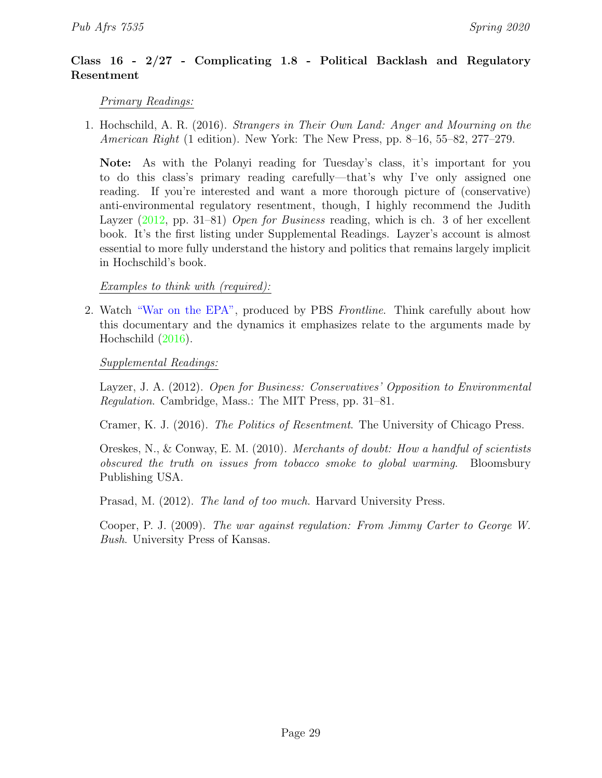# Class 16 - 2/27 - Complicating 1.8 - Political Backlash and Regulatory Resentment

# Primary Readings:

1. Hochschild, A. R. (2016). Strangers in Their Own Land: Anger and Mourning on the American Right (1 edition). New York: The New Press, pp. 8–16, 55–82, 277–279.

Note: As with the Polanyi reading for Tuesday's class, it's important for you to do this class's primary reading carefully—that's why I've only assigned one reading. If you're interested and want a more thorough picture of (conservative) anti-environmental regulatory resentment, though, I highly recommend the Judith Layzer [\(2012,](#page-0-0) pp. 31–81) Open for Business reading, which is ch. 3 of her excellent book. It's the first listing under Supplemental Readings. Layzer's account is almost essential to more fully understand the history and politics that remains largely implicit in Hochschild's book.

Examples to think with (required):

<span id="page-28-0"></span>2. Watch ["War on the EPA",](https://www.pbs.org/wgbh/frontline/film/war-on-the-epa/) produced by PBS Frontline. Think carefully about how this documentary and the dynamics it emphasizes relate to the arguments made by Hochschild [\(2016\)](#page-0-0).

Supplemental Readings:

Layzer, J. A. (2012). Open for Business: Conservatives' Opposition to Environmental Regulation. Cambridge, Mass.: The MIT Press, pp. 31–81.

Cramer, K. J. (2016). The Politics of Resentment. The University of Chicago Press.

Oreskes, N., & Conway, E. M. (2010). Merchants of doubt: How a handful of scientists obscured the truth on issues from tobacco smoke to global warming. Bloomsbury Publishing USA.

Prasad, M. (2012). The land of too much. Harvard University Press.

Cooper, P. J. (2009). The war against regulation: From Jimmy Carter to George W. Bush. University Press of Kansas.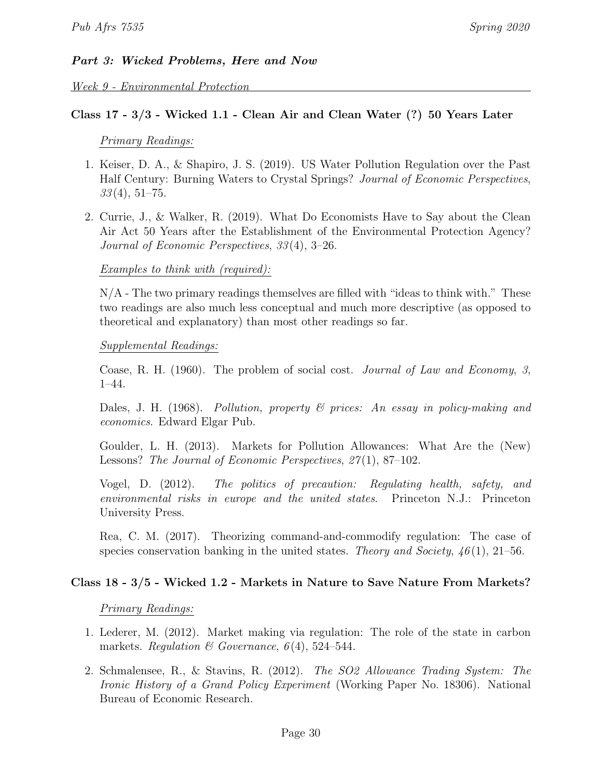# Part 3: Wicked Problems, Here and Now

Week 9 - Environmental Protection

# Class 17 - 3/3 - Wicked 1.1 - Clean Air and Clean Water (?) 50 Years Later

### Primary Readings:

- 1. Keiser, D. A., & Shapiro, J. S. (2019). US Water Pollution Regulation over the Past Half Century: Burning Waters to Crystal Springs? Journal of Economic Perspectives,  $33(4), 51-75.$
- 2. Currie, J., & Walker, R. (2019). What Do Economists Have to Say about the Clean Air Act 50 Years after the Establishment of the Environmental Protection Agency? Journal of Economic Perspectives, 33 (4), 3–26.

# Examples to think with (required):

 $N/A$  - The two primary readings themselves are filled with "ideas to think with." These two readings are also much less conceptual and much more descriptive (as opposed to theoretical and explanatory) than most other readings so far.

### Supplemental Readings:

Coase, R. H. (1960). The problem of social cost. Journal of Law and Economy, 3, 1–44.

Dales, J. H. (1968). Pollution, property & prices: An essay in policy-making and economics. Edward Elgar Pub.

Goulder, L. H. (2013). Markets for Pollution Allowances: What Are the (New) Lessons? The Journal of Economic Perspectives, 27(1), 87–102.

Vogel, D. (2012). The politics of precaution: Regulating health, safety, and environmental risks in europe and the united states. Princeton N.J.: Princeton University Press.

Rea, C. M. (2017). Theorizing command-and-commodify regulation: The case of species conservation banking in the united states. Theory and Society,  $46(1)$ , 21–56.

# Class 18 - 3/5 - Wicked 1.2 - Markets in Nature to Save Nature From Markets?

### Primary Readings:

- 1. Lederer, M. (2012). Market making via regulation: The role of the state in carbon markets. Regulation & Governance,  $6(4)$ , 524–544.
- 2. Schmalensee, R., & Stavins, R. (2012). The SO2 Allowance Trading System: The Ironic History of a Grand Policy Experiment (Working Paper No. 18306). National Bureau of Economic Research.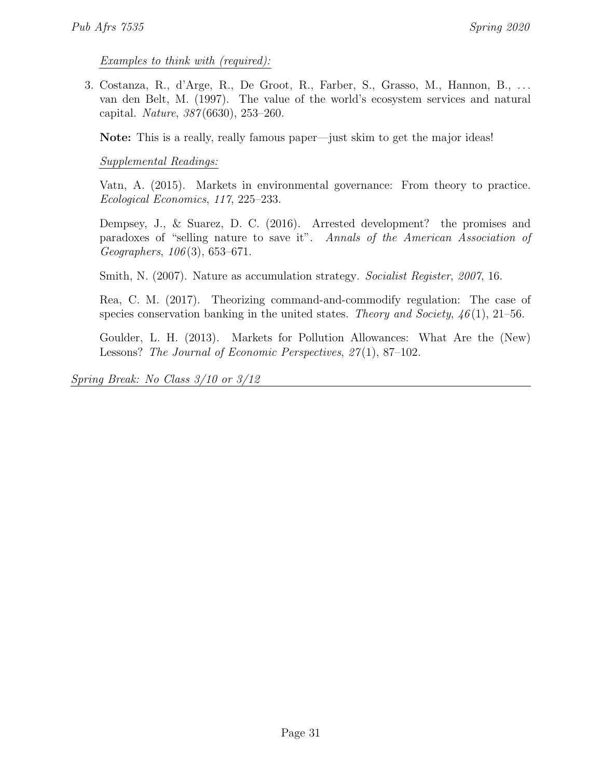Examples to think with (required):

<span id="page-30-0"></span>3. Costanza, R., d'Arge, R., De Groot, R., Farber, S., Grasso, M., Hannon, B., . . . van den Belt, M. (1997). The value of the world's ecosystem services and natural capital. Nature, 387 (6630), 253–260.

Note: This is a really, really famous paper—just skim to get the major ideas!

Supplemental Readings:

Vatn, A. (2015). Markets in environmental governance: From theory to practice. Ecological Economics, 117, 225–233.

Dempsey, J., & Suarez, D. C. (2016). Arrested development? the promises and paradoxes of "selling nature to save it". Annals of the American Association of Geographers, 106 (3), 653–671.

Smith, N. (2007). Nature as accumulation strategy. Socialist Register, 2007, 16.

Rea, C. M. (2017). Theorizing command-and-commodify regulation: The case of species conservation banking in the united states. Theory and Society,  $46(1)$ ,  $21-56$ .

Goulder, L. H. (2013). Markets for Pollution Allowances: What Are the (New) Lessons? The Journal of Economic Perspectives, 27(1), 87–102.

Spring Break: No Class 3/10 or 3/12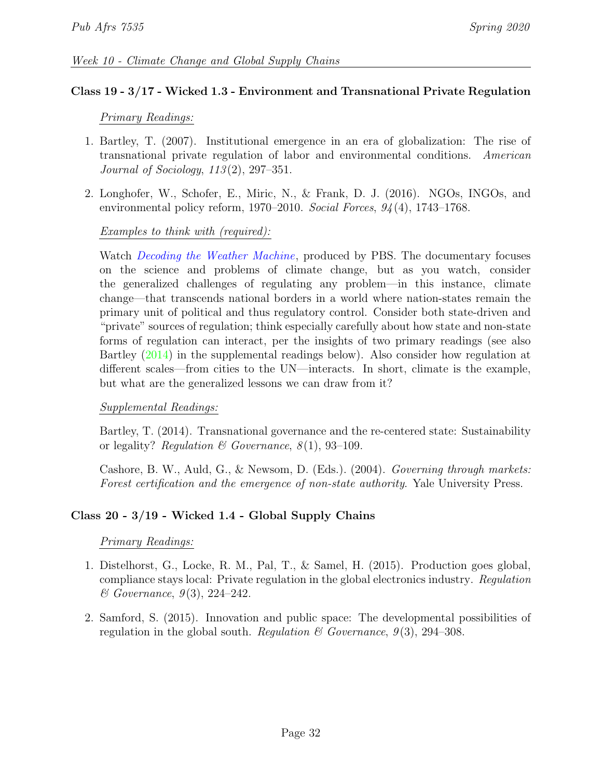# Class 19 - 3/17 - Wicked 1.3 - Environment and Transnational Private Regulation

### Primary Readings:

- 1. Bartley, T. (2007). Institutional emergence in an era of globalization: The rise of transnational private regulation of labor and environmental conditions. American Journal of Sociology, 113 (2), 297–351.
- 2. Longhofer, W., Schofer, E., Miric, N., & Frank, D. J. (2016). NGOs, INGOs, and environmental policy reform, 1970–2010. Social Forces, 94 (4), 1743–1768.

### Examples to think with (required):

Watch *[Decoding the Weather Machine](https://www.pbs.org/video/decoding-the-weather-machine-vgqhot/)*, produced by PBS. The documentary focuses on the science and problems of climate change, but as you watch, consider the generalized challenges of regulating any problem—in this instance, climate change—that transcends national borders in a world where nation-states remain the primary unit of political and thus regulatory control. Consider both state-driven and "private" sources of regulation; think especially carefully about how state and non-state forms of regulation can interact, per the insights of two primary readings (see also Bartley [\(2014\)](#page-0-0) in the supplemental readings below). Also consider how regulation at different scales—from cities to the UN—interacts. In short, climate is the example, but what are the generalized lessons we can draw from it?

### Supplemental Readings:

Bartley, T. (2014). Transnational governance and the re-centered state: Sustainability or legality? Regulation & Governance,  $8(1)$ , 93-109.

Cashore, B. W., Auld, G., & Newsom, D. (Eds.). (2004). Governing through markets: Forest certification and the emergence of non-state authority. Yale University Press.

# Class 20 - 3/19 - Wicked 1.4 - Global Supply Chains

### Primary Readings:

- 1. Distelhorst, G., Locke, R. M., Pal, T., & Samel, H. (2015). Production goes global, compliance stays local: Private regulation in the global electronics industry. Regulation  $\&$  Governance, 9(3), 224–242.
- <span id="page-31-0"></span>2. Samford, S. (2015). Innovation and public space: The developmental possibilities of regulation in the global south. Regulation  $\mathcal C$  Governance, 9(3), 294–308.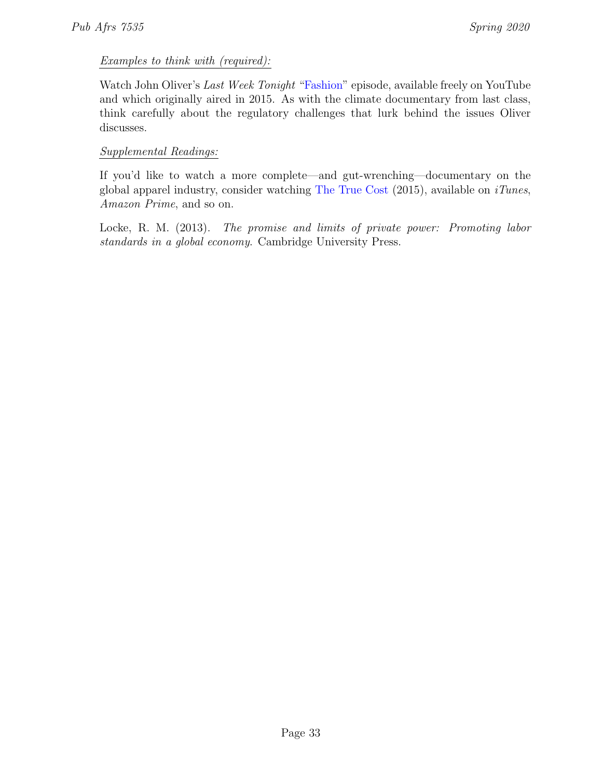# Examples to think with (required):

Watch John Oliver's Last Week Tonight ["Fashion"](https://www.youtube.com/watch?v=VdLf4fihP78) episode, available freely on YouTube and which originally aired in 2015. As with the climate documentary from last class, think carefully about the regulatory challenges that lurk behind the issues Oliver discusses.

# Supplemental Readings:

If you'd like to watch a more complete—and gut-wrenching—documentary on the global apparel industry, consider watching [The True Cost](https://truecostmovie.com/watch/the-true-cost)  $(2015)$ , available on *iTunes*, Amazon Prime, and so on.

Locke, R. M. (2013). The promise and limits of private power: Promoting labor standards in a global economy. Cambridge University Press.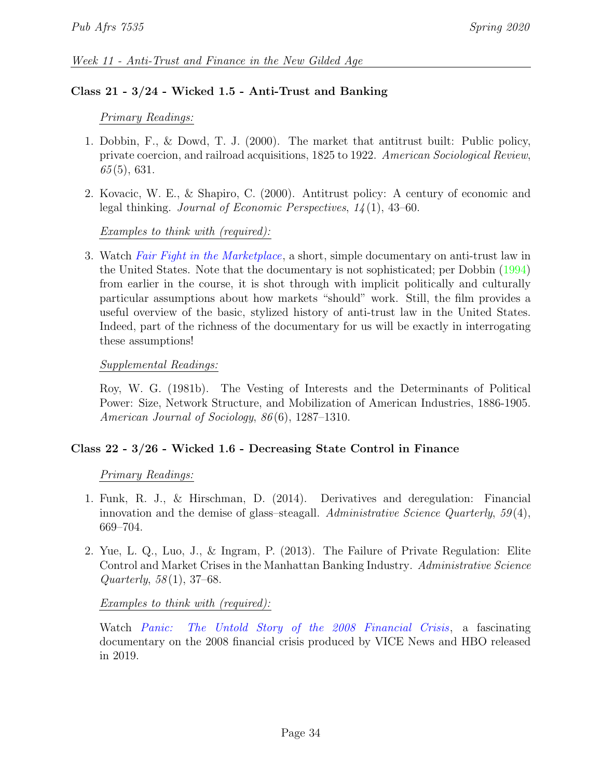# Class 21 - 3/24 - Wicked 1.5 - Anti-Trust and Banking

# Primary Readings:

- 1. Dobbin, F., & Dowd, T. J. (2000). The market that antitrust built: Public policy, private coercion, and railroad acquisitions, 1825 to 1922. American Sociological Review,  $65(5)$ , 631.
- 2. Kovacic, W. E., & Shapiro, C. (2000). Antitrust policy: A century of economic and legal thinking. Journal of Economic Perspectives, 14 (1), 43–60.

# Examples to think with (required):

3. Watch [Fair Fight in the Marketplace](https://vimeo.com/66870382), a short, simple documentary on anti-trust law in the United States. Note that the documentary is not sophisticated; per Dobbin [\(1994\)](#page-0-0) from earlier in the course, it is shot through with implicit politically and culturally particular assumptions about how markets "should" work. Still, the film provides a useful overview of the basic, stylized history of anti-trust law in the United States. Indeed, part of the richness of the documentary for us will be exactly in interrogating these assumptions!

# Supplemental Readings:

Roy, W. G. (1981b). The Vesting of Interests and the Determinants of Political Power: Size, Network Structure, and Mobilization of American Industries, 1886-1905. American Journal of Sociology, 86(6), 1287–1310.

# Class 22 - 3/26 - Wicked 1.6 - Decreasing State Control in Finance

# Primary Readings:

- 1. Funk, R. J., & Hirschman, D. (2014). Derivatives and deregulation: Financial innovation and the demise of glass–steagall. Administrative Science Quarterly,  $59(4)$ , 669–704.
- <span id="page-33-0"></span>2. Yue, L. Q., Luo, J., & Ingram, P. (2013). The Failure of Private Regulation: Elite Control and Market Crises in the Manhattan Banking Industry. Administrative Science Quarterly,  $58(1)$ ,  $37-68$ .

# Examples to think with (required):

Watch [Panic: The Untold Story of the 2008 Financial Crisis](https://www.youtube.com/watch?v=wyz79sd_SDA), a fascinating documentary on the 2008 financial crisis produced by VICE News and HBO released in 2019.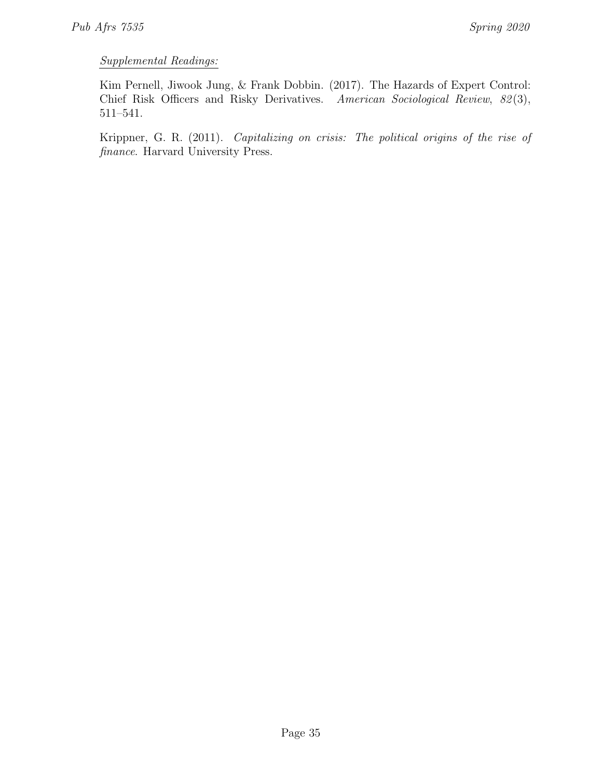# Supplemental Readings:

Kim Pernell, Jiwook Jung, & Frank Dobbin. (2017). The Hazards of Expert Control: Chief Risk Officers and Risky Derivatives. American Sociological Review, 82(3), 511–541.

Krippner, G. R. (2011). Capitalizing on crisis: The political origins of the rise of finance. Harvard University Press.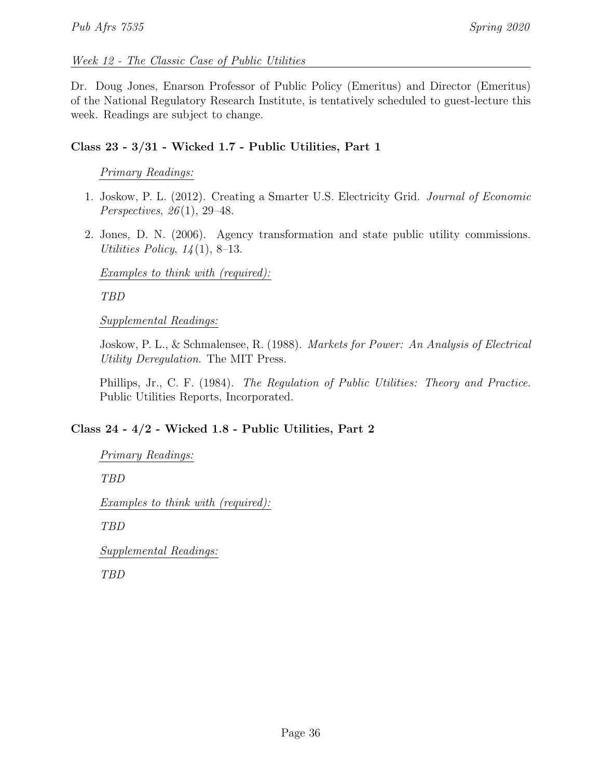# Week 12 - The Classic Case of Public Utilities

Dr. Doug Jones, Enarson Professor of Public Policy (Emeritus) and Director (Emeritus) of the National Regulatory Research Institute, is tentatively scheduled to guest-lecture this week. Readings are subject to change.

# Class 23 - 3/31 - Wicked 1.7 - Public Utilities, Part 1

# Primary Readings:

- 1. Joskow, P. L. (2012). Creating a Smarter U.S. Electricity Grid. Journal of Economic Perspectives, 26 (1), 29–48.
- <span id="page-35-0"></span>2. Jones, D. N. (2006). Agency transformation and state public utility commissions. Utilities Policy,  $14(1)$ , 8–13.

Examples to think with (required):

TBD

Supplemental Readings:

Joskow, P. L., & Schmalensee, R. (1988). Markets for Power: An Analysis of Electrical Utility Deregulation. The MIT Press.

Phillips, Jr., C. F. (1984). The Regulation of Public Utilities: Theory and Practice. Public Utilities Reports, Incorporated.

# Class 24 - 4/2 - Wicked 1.8 - Public Utilities, Part 2

```
Primary Readings:
```
TBD

Examples to think with (required):

TBD

Supplemental Readings:

TBD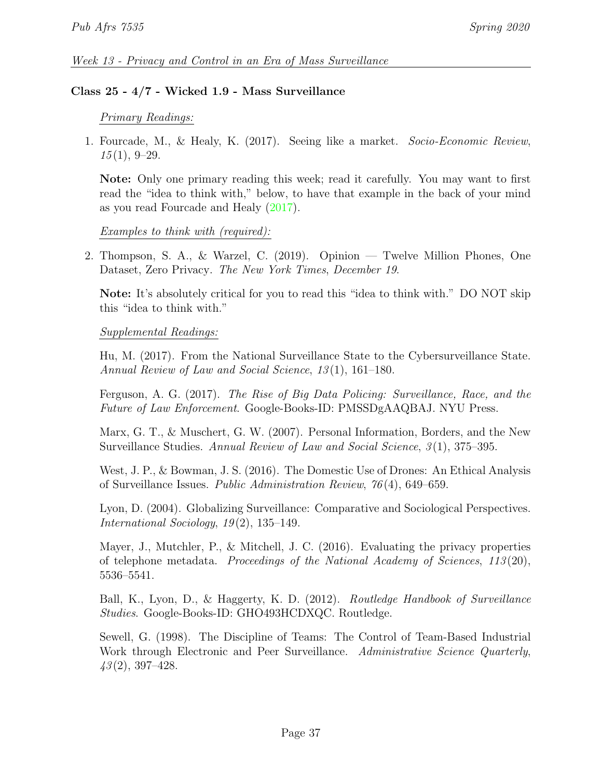# Class 25 - 4/7 - Wicked 1.9 - Mass Surveillance

### Primary Readings:

1. Fourcade, M., & Healy, K. (2017). Seeing like a market. Socio-Economic Review,  $15(1), 9-29.$ 

Note: Only one primary reading this week; read it carefully. You may want to first read the "idea to think with," below, to have that example in the back of your mind as you read Fourcade and Healy [\(2017\)](#page-0-0).

### Examples to think with (required):

2. Thompson, S. A., & Warzel, C. (2019). Opinion — Twelve Million Phones, One Dataset, Zero Privacy. The New York Times, December 19.

Note: It's absolutely critical for you to read this "idea to think with." DO NOT skip this "idea to think with."

### Supplemental Readings:

Hu, M. (2017). From the National Surveillance State to the Cybersurveillance State. Annual Review of Law and Social Science, 13 (1), 161–180.

Ferguson, A. G. (2017). The Rise of Big Data Policing: Surveillance, Race, and the Future of Law Enforcement. Google-Books-ID: PMSSDgAAQBAJ. NYU Press.

Marx, G. T., & Muschert, G. W. (2007). Personal Information, Borders, and the New Surveillance Studies. Annual Review of Law and Social Science, 3(1), 375–395.

West, J. P., & Bowman, J. S. (2016). The Domestic Use of Drones: An Ethical Analysis of Surveillance Issues. Public Administration Review, 76 (4), 649–659.

Lyon, D. (2004). Globalizing Surveillance: Comparative and Sociological Perspectives. International Sociology, 19 (2), 135–149.

Mayer, J., Mutchler, P., & Mitchell, J. C. (2016). Evaluating the privacy properties of telephone metadata. Proceedings of the National Academy of Sciences, 113 (20), 5536–5541.

Ball, K., Lyon, D., & Haggerty, K. D. (2012). Routledge Handbook of Surveillance Studies. Google-Books-ID: GHO493HCDXQC. Routledge.

Sewell, G. (1998). The Discipline of Teams: The Control of Team-Based Industrial Work through Electronic and Peer Surveillance. Administrative Science Quarterly,  $43(2), 397-428.$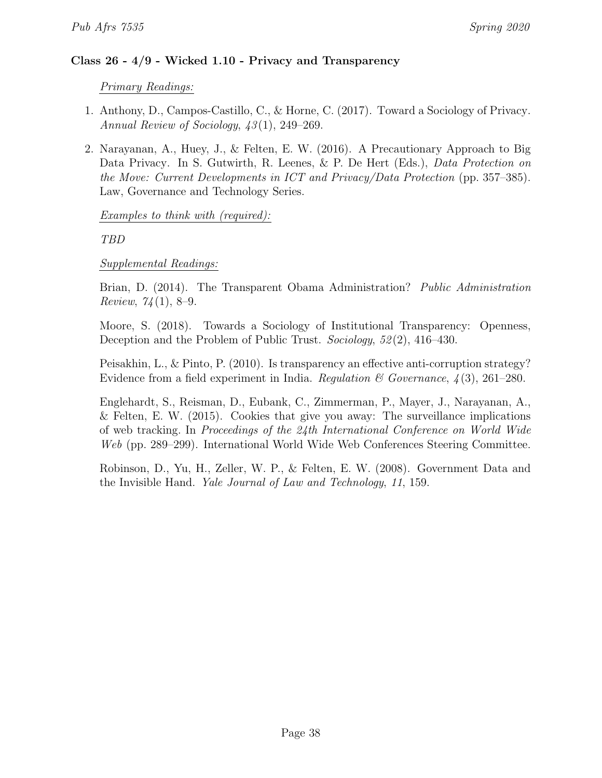# Class 26 - 4/9 - Wicked 1.10 - Privacy and Transparency

# Primary Readings:

- 1. Anthony, D., Campos-Castillo, C., & Horne, C. (2017). Toward a Sociology of Privacy. Annual Review of Sociology, 43 (1), 249–269.
- <span id="page-37-0"></span>2. Narayanan, A., Huey, J., & Felten, E. W. (2016). A Precautionary Approach to Big Data Privacy. In S. Gutwirth, R. Leenes, & P. De Hert (Eds.), Data Protection on the Move: Current Developments in ICT and Privacy/Data Protection (pp. 357–385). Law, Governance and Technology Series.

# Examples to think with (required):

TBD

# Supplemental Readings:

Brian, D. (2014). The Transparent Obama Administration? Public Administration *Review,*  $74(1)$ , 8-9.

Moore, S. (2018). Towards a Sociology of Institutional Transparency: Openness, Deception and the Problem of Public Trust. Sociology, 52(2), 416–430.

Peisakhin, L., & Pinto, P. (2010). Is transparency an effective anti-corruption strategy? Evidence from a field experiment in India. Regulation & Governance,  $\lambda(3)$ , 261–280.

Englehardt, S., Reisman, D., Eubank, C., Zimmerman, P., Mayer, J., Narayanan, A., & Felten, E. W. (2015). Cookies that give you away: The surveillance implications of web tracking. In Proceedings of the 24th International Conference on World Wide Web (pp. 289–299). International World Wide Web Conferences Steering Committee.

Robinson, D., Yu, H., Zeller, W. P., & Felten, E. W. (2008). Government Data and the Invisible Hand. Yale Journal of Law and Technology, 11, 159.